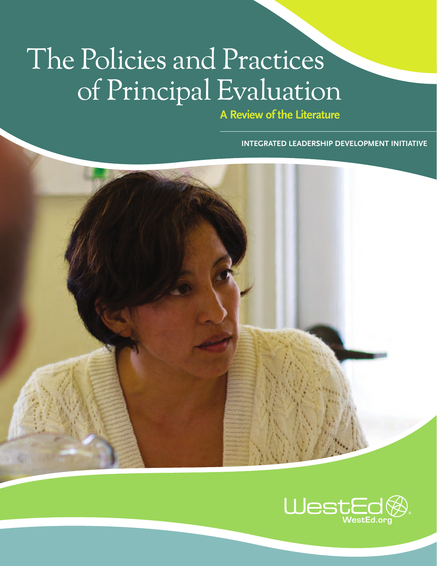# The Policies and Practices of Principal Evaluation

**A Review of the Literature**

**INTEGRATED LEADERSHIP DEVELOPMENT INITIATIVE**



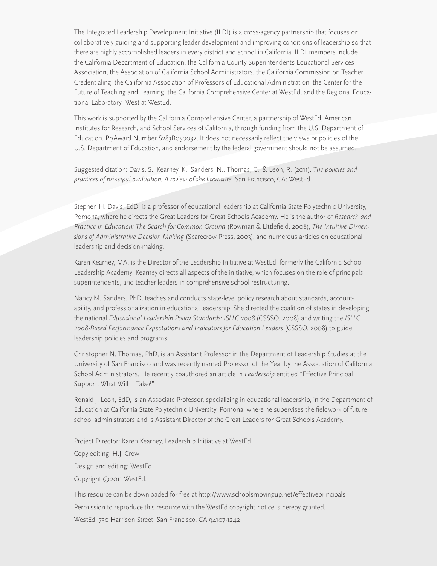The Integrated Leadership Development Initiative (ILDI) is a cross-agency partnership that focuses on collaboratively guiding and supporting leader development and improving conditions of leadership so that there are highly accomplished leaders in every district and school in California. ILDI members include the California Department of Education, the California County Superintendents Educational Services Association, the Association of California School Administrators, the California Commission on Teacher Credentialing, the California Association of Professors of Educational Administration, the Center for the Future of Teaching and Learning, the California Comprehensive Center at WestEd, and the Regional Educational Laboratory–West at WestEd.

This work is supported by the California Comprehensive Center, a partnership of WestEd, American Institutes for Research, and School Services of California, through funding from the U.S. Department of Education, Pr/Award Number S283B050032. It does not necessarily reflect the views or policies of the U.S. Department of Education, and endorsement by the federal government should not be assumed.

Suggested citation: Davis, S., Kearney, K., Sanders, N., Thomas, C., & Leon, R. (2011). *The policies and practices of principal evaluation: A review of the literature.* San Francisco, CA: WestEd.

Stephen H. Davis, EdD, is a professor of educational leadership at California State Polytechnic University, Pomona, where he directs the Great Leaders for Great Schools Academy. He is the author of *Research and Practice in Education: The Search for Common Ground* (Rowman & Littlefield, 2008), *The Intuitive Dimensions of Administrative Decision Making* (Scarecrow Press, 2003), and numerous articles on educational leadership and decision-making.

Karen Kearney, MA, is the Director of the Leadership Initiative at WestEd, formerly the California School Leadership Academy. Kearney directs all aspects of the initiative, which focuses on the role of principals, superintendents, and teacher leaders in comprehensive school restructuring.

Nancy M. Sanders, PhD, teaches and conducts state-level policy research about standards, accountability, and professionalization in educational leadership. She directed the coalition of states in developing the national *Educational Leadership Policy Standards: ISLLC 2008* (CSSSO, 2008) and writing the *ISLLC 2008-Based Performance Expectations and Indicators for Education Leaders* (CSSSO, 2008) to guide leadership policies and programs.

Christopher N. Thomas, PhD, is an Assistant Professor in the Department of Leadership Studies at the University of San Francisco and was recently named Professor of the Year by the Association of California School Administrators. He recently coauthored an article in *Leadership* entitled "Effective Principal Support: What Will It Take?"

Ronald J. Leon, EdD, is an Associate Professor, specializing in educational leadership, in the Department of Education at California State Polytechnic University, Pomona, where he supervises the fieldwork of future school administrators and is Assistant Director of the Great Leaders for Great Schools Academy.

Project Director: Karen Kearney, Leadership Initiative at WestEd

Copy editing: H.J. Crow

Design and editing: WestEd

Copyright © 2011 WestEd.

This resource can be downloaded for free at http://www.schoolsmovingup.net/effectiveprincipals Permission to reproduce this resource with the WestEd copyright notice is hereby granted. WestEd, 730 Harrison Street, San Francisco, CA 94107-1242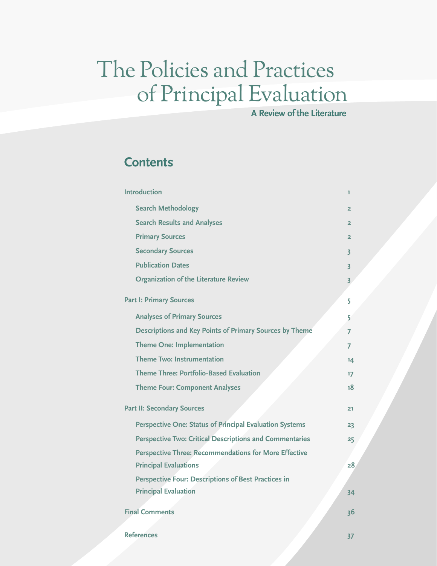## The Policies and Practices of Principal Evaluation

**A Review of the Literature**

### **Contents**

| <b>Introduction</b>                                            | ı                       |
|----------------------------------------------------------------|-------------------------|
| <b>Search Methodology</b>                                      | $\overline{2}$          |
| <b>Search Results and Analyses</b>                             | $\overline{2}$          |
| <b>Primary Sources</b>                                         | $\overline{2}$          |
| <b>Secondary Sources</b>                                       | $\overline{\mathbf{3}}$ |
| <b>Publication Dates</b>                                       | $\overline{\mathbf{3}}$ |
| <b>Organization of the Literature Review</b>                   | $\overline{3}$          |
| <b>Part I: Primary Sources</b>                                 | 5                       |
| <b>Analyses of Primary Sources</b>                             | 5                       |
| Descriptions and Key Points of Primary Sources by Theme        | 7                       |
| <b>Theme One: Implementation</b>                               | 7                       |
| <b>Theme Two: Instrumentation</b>                              | 14                      |
| <b>Theme Three: Portfolio-Based Evaluation</b>                 | 17                      |
| <b>Theme Four: Component Analyses</b>                          | 18                      |
| <b>Part II: Secondary Sources</b>                              | 21                      |
| <b>Perspective One: Status of Principal Evaluation Systems</b> | 23                      |
| <b>Perspective Two: Critical Descriptions and Commentaries</b> | 25                      |
| <b>Perspective Three: Recommendations for More Effective</b>   |                         |
| <b>Principal Evaluations</b>                                   | 28 <sub>1</sub>         |
| <b>Perspective Four: Descriptions of Best Practices in</b>     |                         |
| <b>Principal Evaluation</b>                                    | 34                      |
| <b>Final Comments</b>                                          | 36                      |
| <b>References</b>                                              | 37                      |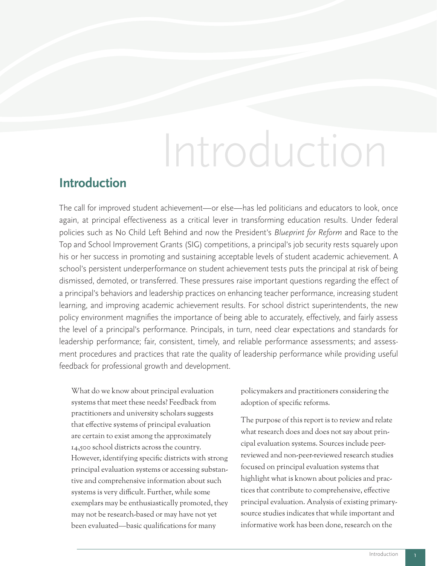# Introduction

### **Introduction**

The call for improved student achievement—or else—has led politicians and educators to look, once again, at principal effectiveness as a critical lever in transforming education results. Under federal policies such as No Child Left Behind and now the President's *Blueprint for Reform* and Race to the Top and School Improvement Grants (SIG) competitions, a principal's job security rests squarely upon his or her success in promoting and sustaining acceptable levels of student academic achievement. A school's persistent underperformance on student achievement tests puts the principal at risk of being dismissed, demoted, or transferred. These pressures raise important questions regarding the effect of a principal's behaviors and leadership practices on enhancing teacher performance, increasing student learning, and improving academic achievement results. For school district superintendents, the new policy environment magnifies the importance of being able to accurately, effectively, and fairly assess the level of a principal's performance. Principals, in turn, need clear expectations and standards for leadership performance; fair, consistent, timely, and reliable performance assessments; and assessment procedures and practices that rate the quality of leadership performance while providing useful feedback for professional growth and development.

What do we know about principal evaluation systems that meet these needs? Feedback from practitioners and university scholars suggests that effective systems of principal evaluation are certain to exist among the approximately 14,500 school districts across the country. However, identifying specific districts with strong principal evaluation systems or accessing substantive and comprehensive information about such systems is very difficult. Further, while some exemplars may be enthusiastically promoted, they may not be research-based or may have not yet been evaluated—basic qualifications for many

policymakers and practitioners considering the adoption of specific reforms.

The purpose of this report is to review and relate what research does and does not say about principal evaluation systems. Sources include peerreviewed and non-peer-reviewed research studies focused on principal evaluation systems that highlight what is known about policies and practices that contribute to comprehensive, effective principal evaluation. Analysis of existing primarysource studies indicates that while important and informative work has been done, research on the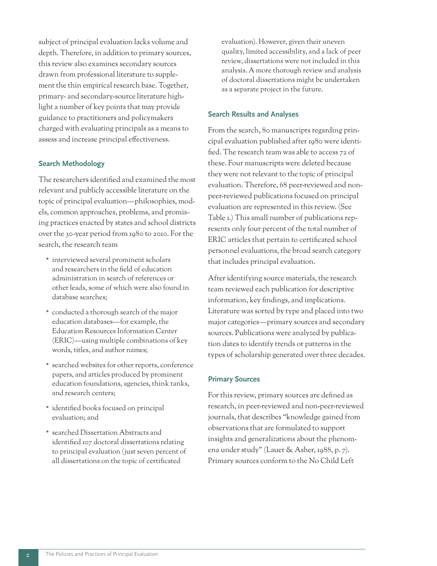subject of principal evaluation lacks volume and depth. Therefore, in addition to primary sources, this review also examines secondary sources drawn from professional literature to supplement the thin empirical research base. Together, primary- and secondary-source literature highlight a number of key points that may provide guidance to practitioners and policymakers charged with evaluating principals as a means to assess and increase principal effectiveness.

#### **Search Methodology**

The researchers identified and examined the most relevant and publicly accessible literature on the topic of principal evaluation—philosophies, models, common approaches, problems, and promising practices enacted by states and school districts over the 30-year period from 1980 to 2010. For the search, the research team

- \* interviewed several prominent scholars and researchers in the field of education administration in search of references or other leads, some of which were also found in database searches;
- \* conducted a thorough search of the major education databases—for example, the Education Resources Information Center (ERIC)—using multiple combinations of key words, titles, and author names;
- \* searched websites for other reports, conference papers, and articles produced by prominent education foundations, agencies, think tanks, and research centers;
- \* identified books focused on principal evaluation; and
- \* searched Dissertation Abstracts and identified 107 doctoral dissertations relating to principal evaluation (just seven percent of all dissertations on the topic of certificated

evaluation). However, given their uneven quality, limited accessibility, and a lack of peer review, dissertations were not included in this analysis. A more thorough review and analysis of doctoral dissertations might be undertaken as a separate project in the future.

#### **Search Results and Analyses**

From the search, 80 manuscripts regarding principal evaluation published after 1980 were identified. The research team was able to access 72 of these. Four manuscripts were deleted because they were not relevant to the topic of principal evaluation. Therefore, 68 peer-reviewed and nonpeer-reviewed publications focused on principal evaluation are represented in this review. (See Table 1.) This small number of publications represents only four percent of the total number of ERIC articles that pertain to certificated school personnel evaluations, the broad search category that includes principal evaluation.

After identifying source materials, the research team reviewed each publication for descriptive information, key findings, and implications. Literature was sorted by type and placed into two major categories—primary sources and secondary sources. Publications were analyzed by publication dates to identify trends or patterns in the types of scholarship generated over three decades.

#### **Primary Sources**

For this review, primary sources are defined as research, in peer-reviewed and non-peer-reviewed journals, that describes "knowledge gained from observations that are formulated to support insights and generalizations about the phenomena under study" (Lauer & Asher, 1988, p. 7). Primary sources conform to the No Child Left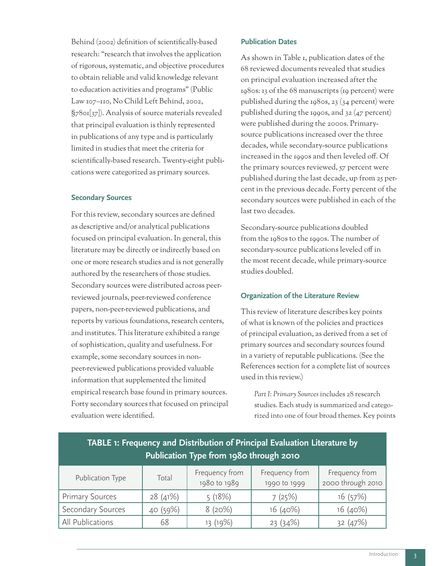Behind (2002) definition of scientifically-based research: "research that involves the application of rigorous, systematic, and objective procedures to obtain reliable and valid knowledge relevant to education activities and programs" (Public Law 107–110, No Child Left Behind, 2002, §7801[37]). Analysis of source materials revealed that principal evaluation is thinly represented in publications of any type and is particularly limited in studies that meet the criteria for scientifically-based research. Twenty-eight publications were categorized as primary sources.

#### **Secondary Sources**

For this review, secondary sources are defined as descriptive and/or analytical publications focused on principal evaluation. In general, this literature may be directly or indirectly based on one or more research studies and is not generally authored by the researchers of those studies. Secondary sources were distributed across peerreviewed journals, peer-reviewed conference papers, non-peer-reviewed publications, and reports by various foundations, research centers, and institutes. This literature exhibited a range of sophistication, quality and usefulness. For example, some secondary sources in nonpeer-reviewed publications provided valuable information that supplemented the limited empirical research base found in primary sources. Forty secondary sources that focused on principal evaluation were identified.

#### **Publication Dates**

As shown in Table 1, publication dates of the 68 reviewed documents revealed that studies on principal evaluation increased after the 1980s: 13 of the 68 manuscripts (19 percent) were published during the 1980s, 23 (34 percent) were published during the 1990s, and 32 (47 percent) were published during the 2000s. Primarysource publications increased over the three decades, while secondary-source publications increased in the 1990s and then leveled off. Of the primary sources reviewed, 57 percent were published during the last decade, up from 25 percent in the previous decade. Forty percent of the secondary sources were published in each of the last two decades.

Secondary-source publications doubled from the 1980s to the 1990s. The number of secondary-source publications leveled off in the most recent decade, while primary-source studies doubled.

#### **Organization of the Literature Review**

This review of literature describes key points of what is known of the policies and practices of principal evaluation, as derived from a set of primary sources and secondary sources found in a variety of reputable publications. (See the References section for a complete list of sources used in this review.)

*Part I: Primary Sources* includes 28 research studies. Each study is summarized and categorized into one of four broad themes. Key points

| TABLE 1: Frequency and Distribution of Principal Evaluation Literature by<br>Publication Type from 1980 through 2010 |          |                                |                                |                                     |
|----------------------------------------------------------------------------------------------------------------------|----------|--------------------------------|--------------------------------|-------------------------------------|
| Publication Type                                                                                                     | Total    | Frequency from<br>1980 to 1989 | Frequency from<br>1990 to 1999 | Frequency from<br>2000 through 2010 |
| <b>Primary Sources</b>                                                                                               | 28(41%)  | 5(18%)                         | 7(25%)                         | 16(57%)                             |
| Secondary Sources                                                                                                    | 40 (59%) | 8(20%)                         | 16(40%)                        | 16(40%)                             |
| All Publications                                                                                                     | 68       | 13 (19%)                       | 23(34%)                        | 32(47%)                             |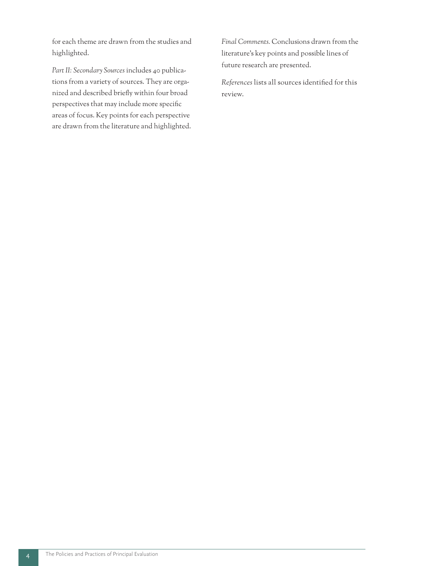for each theme are drawn from the studies and highlighted.

*Part II: Secondary Sources* includes 40 publications from a variety of sources. They are organized and described briefly within four broad perspectives that may include more specific areas of focus. Key points for each perspective are drawn from the literature and highlighted. *Final Comments.* Conclusions drawn from the literature's key points and possible lines of future research are presented.

*References* lists all sources identified for this review.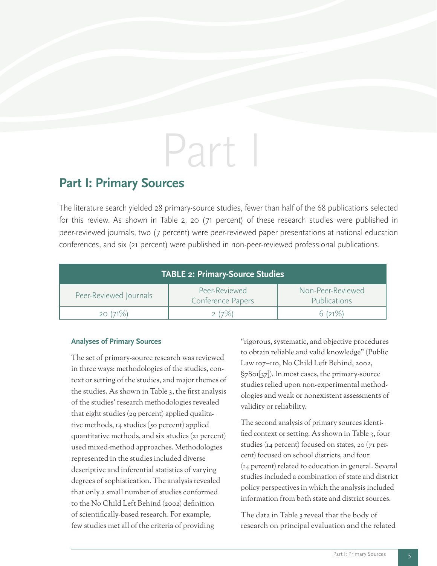# Part I

### **Part I: Primary Sources**

The literature search yielded 28 primary-source studies, fewer than half of the 68 publications selected for this review. As shown in Table 2, 20 (71 percent) of these research studies were published in peer-reviewed journals, two (7 percent) were peer-reviewed paper presentations at national education conferences, and six (21 percent) were published in non-peer-reviewed professional publications.

| TABLE 2: Primary-Source Studies |                                    |                                          |  |
|---------------------------------|------------------------------------|------------------------------------------|--|
| Peer-Reviewed Journals          | Peer-Reviewed<br>Conference Papers | Non-Peer-Reviewed<br><b>Publications</b> |  |
| 20(71%)                         | $(7\%)$                            | 6(21%)                                   |  |

#### **Analyses of Primary Sources**

The set of primary-source research was reviewed in three ways: methodologies of the studies, context or setting of the studies, and major themes of the studies. As shown in Table 3, the first analysis of the studies' research methodologies revealed that eight studies (29 percent) applied qualitative methods, 14 studies (50 percent) applied quantitative methods, and six studies (21 percent) used mixed-method approaches. Methodologies represented in the studies included diverse descriptive and inferential statistics of varying degrees of sophistication. The analysis revealed that only a small number of studies conformed to the No Child Left Behind (2002) definition of scientifically-based research. For example, few studies met all of the criteria of providing

"rigorous, systematic, and objective procedures to obtain reliable and valid knowledge" (Public Law 107–110, No Child Left Behind, 2002, §7801[37]). In most cases, the primary-source studies relied upon non-experimental methodologies and weak or nonexistent assessments of validity or reliability.

The second analysis of primary sources identified context or setting. As shown in Table 3, four studies (14 percent) focused on states, 20 (71 percent) focused on school districts, and four (14 percent) related to education in general. Several studies included a combination of state and district policy perspectives in which the analysis included information from both state and district sources.

The data in Table 3 reveal that the body of research on principal evaluation and the related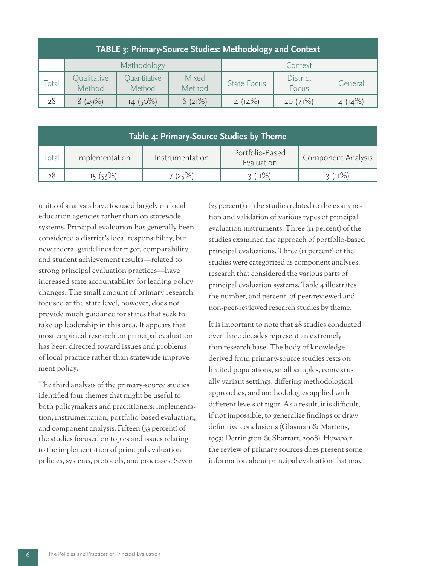| TABLE 3: Primary-Source Studies: Methodology and Context |                       |                        |                 |                    |                          |         |
|----------------------------------------------------------|-----------------------|------------------------|-----------------|--------------------|--------------------------|---------|
|                                                          |                       | Methodology            |                 |                    | Context                  |         |
| Total                                                    | Qualitative<br>Method | Quantitative<br>Method | Mixed<br>Method | <b>State Focus</b> | <b>District</b><br>Focus | General |
| 28                                                       | 8(29%)                | 14 (50%)               | 6(21%)          | 4(14%)             | 20(71%)                  | 4(14%)  |

| Table 4: Primary-Source Studies by Theme |                |                 |                               |                           |
|------------------------------------------|----------------|-----------------|-------------------------------|---------------------------|
| Total                                    | Implementation | Instrumentation | Portfolio-Based<br>Evaluation | <b>Component Analysis</b> |
|                                          | 15 (53%)       | 7(25%)          | 3(11%)                        | 3(11%)                    |

units of analysis have focused largely on local education agencies rather than on statewide systems. Principal evaluation has generally been considered a district's local responsibility, but new federal guidelines for rigor, comparability, and student achievement results—related to strong principal evaluation practices—have increased state accountability for leading policy changes. The small amount of primary research focused at the state level, however, does not provide much guidance for states that seek to take up leadership in this area. It appears that most empirical research on principal evaluation has been directed toward issues and problems of local practice rather than statewide improvement policy.

The third analysis of the primary-source studies identified four themes that might be useful to both policymakers and practitioners: implementation, instrumentation, portfolio-based evaluation, and component analysis. Fifteen (53 percent) of the studies focused on topics and issues relating to the implementation of principal evaluation policies, systems, protocols, and processes. Seven

(25 percent) of the studies related to the examination and validation of various types of principal evaluation instruments. Three (11 percent) of the studies examined the approach of portfolio-based principal evaluations. Three (11 percent) of the studies were categorized as component analyses, research that considered the various parts of principal evaluation systems. Table 4 illustrates the number, and percent, of peer-reviewed and non-peer-reviewed research studies by theme.

It is important to note that 28 studies conducted over three decades represent an extremely thin research base. The body of knowledge derived from primary-source studies rests on limited populations, small samples, contextually variant settings, differing methodological approaches, and methodologies applied with different levels of rigor. As a result, it is difficult, if not impossible, to generalize findings or draw definitive conclusions (Glasman & Martens, 1993; Derrington & Sharratt, 2008). However, the review of primary sources does present some information about principal evaluation that may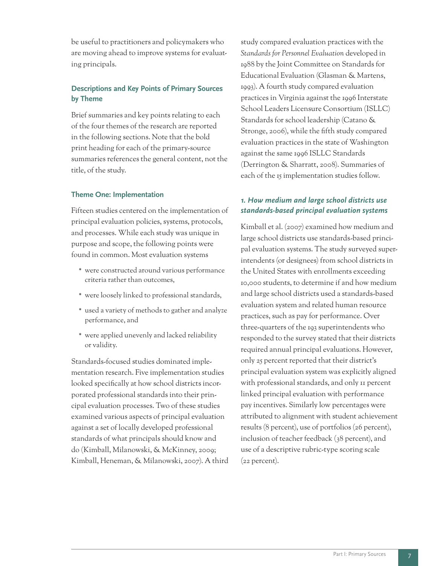be useful to practitioners and policymakers who are moving ahead to improve systems for evaluating principals.

#### **Descriptions and Key Points of Primary Sources by Theme**

Brief summaries and key points relating to each of the four themes of the research are reported in the following sections. Note that the bold print heading for each of the primary-source summaries references the general content, not the title, of the study.

#### **Theme One: Implementation**

Fifteen studies centered on the implementation of principal evaluation policies, systems, protocols, and processes. While each study was unique in purpose and scope, the following points were found in common. Most evaluation systems

- \* were constructed around various performance criteria rather than outcomes,
- \* were loosely linked to professional standards,
- \* used a variety of methods to gather and analyze performance, and
- \* were applied unevenly and lacked reliability or validity.

Standards-focused studies dominated implementation research. Five implementation studies looked specifically at how school districts incorporated professional standards into their principal evaluation processes. Two of these studies examined various aspects of principal evaluation against a set of locally developed professional standards of what principals should know and do (Kimball, Milanowski, & McKinney, 2009; Kimball, Heneman, & Milanowski, 2007). A third study compared evaluation practices with the *Standards for Personnel Evaluation* developed in 1988 by the Joint Committee on Standards for Educational Evaluation (Glasman & Martens, 1993). A fourth study compared evaluation practices in Virginia against the 1996 Interstate School Leaders Licensure Consortium (ISLLC) Standards for school leadership (Catano & Stronge, 2006), while the fifth study compared evaluation practices in the state of Washington against the same 1996 ISLLC Standards (Derrington & Sharratt, 2008). Summaries of each of the 15 implementation studies follow.

#### *1. How medium and large school districts use standards-based principal evaluation systems*

Kimball et al. (2007) examined how medium and large school districts use standards-based principal evaluation systems. The study surveyed superintendents (or designees) from school districts in the United States with enrollments exceeding 10,000 students, to determine if and how medium and large school districts used a standards-based evaluation system and related human resource practices, such as pay for performance. Over three-quarters of the 193 superintendents who responded to the survey stated that their districts required annual principal evaluations. However, only 25 percent reported that their district's principal evaluation system was explicitly aligned with professional standards, and only 11 percent linked principal evaluation with performance pay incentives. Similarly low percentages were attributed to alignment with student achievement results (8 percent), use of portfolios (26 percent), inclusion of teacher feedback (38 percent), and use of a descriptive rubric-type scoring scale (22 percent).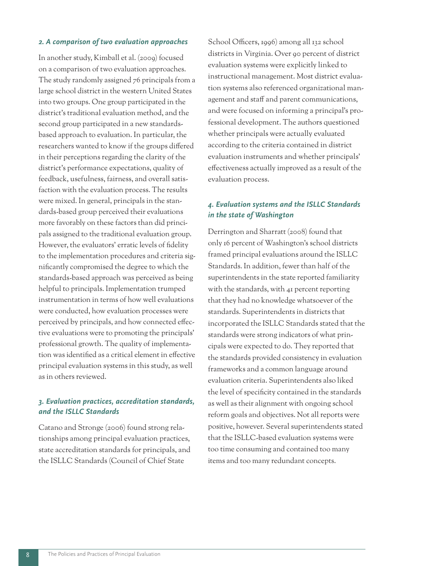#### *2. A comparison of two evaluation approaches*

In another study, Kimball et al. (2009) focused on a comparison of two evaluation approaches. The study randomly assigned 76 principals from a large school district in the western United States into two groups. One group participated in the district's traditional evaluation method, and the second group participated in a new standardsbased approach to evaluation. In particular, the researchers wanted to know if the groups differed in their perceptions regarding the clarity of the district's performance expectations, quality of feedback, usefulness, fairness, and overall satisfaction with the evaluation process. The results were mixed. In general, principals in the standards-based group perceived their evaluations more favorably on these factors than did principals assigned to the traditional evaluation group. However, the evaluators' erratic levels of fidelity to the implementation procedures and criteria significantly compromised the degree to which the standards-based approach was perceived as being helpful to principals. Implementation trumped instrumentation in terms of how well evaluations were conducted, how evaluation processes were perceived by principals, and how connected effective evaluations were to promoting the principals' professional growth. The quality of implementation was identified as a critical element in effective principal evaluation systems in this study, as well as in others reviewed.

#### *3. Evaluation practices, accreditation standards, and the ISLLC Standards*

Catano and Stronge (2006) found strong relationships among principal evaluation practices, state accreditation standards for principals, and the ISLLC Standards (Council of Chief State

School Officers, 1996) among all 132 school districts in Virginia. Over 90 percent of district evaluation systems were explicitly linked to instructional management. Most district evaluation systems also referenced organizational management and staff and parent communications, and were focused on informing a principal's professional development. The authors questioned whether principals were actually evaluated according to the criteria contained in district evaluation instruments and whether principals' effectiveness actually improved as a result of the evaluation process.

#### *4. Evaluation systems and the ISLLC Standards in the state of Washington*

Derrington and Sharratt (2008) found that only 16 percent of Washington's school districts framed principal evaluations around the ISLLC Standards. In addition, fewer than half of the superintendents in the state reported familiarity with the standards, with 41 percent reporting that they had no knowledge whatsoever of the standards. Superintendents in districts that incorporated the ISLLC Standards stated that the standards were strong indicators of what principals were expected to do. They reported that the standards provided consistency in evaluation frameworks and a common language around evaluation criteria. Superintendents also liked the level of specificity contained in the standards as well as their alignment with ongoing school reform goals and objectives. Not all reports were positive, however. Several superintendents stated that the ISLLC-based evaluation systems were too time consuming and contained too many items and too many redundant concepts.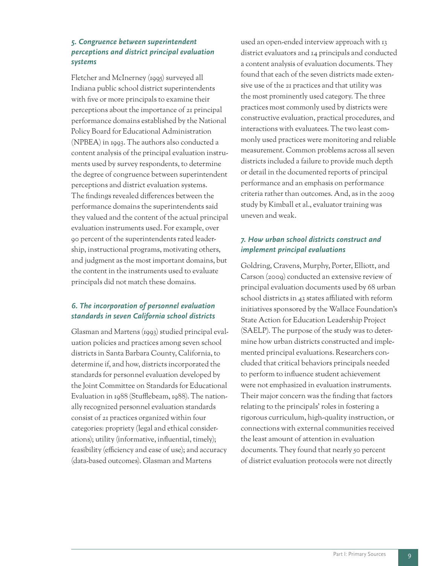#### *5. Congruence between superintendent perceptions and district principal evaluation systems*

Fletcher and McInerney (1995) surveyed all Indiana public school district superintendents with five or more principals to examine their perceptions about the importance of 21 principal performance domains established by the National Policy Board for Educational Administration (NPBEA) in 1993. The authors also conducted a content analysis of the principal evaluation instruments used by survey respondents, to determine the degree of congruence between superintendent perceptions and district evaluation systems. The findings revealed differences between the performance domains the superintendents said they valued and the content of the actual principal evaluation instruments used. For example, over 90 percent of the superintendents rated leadership, instructional programs, motivating others, and judgment as the most important domains, but the content in the instruments used to evaluate principals did not match these domains.

#### *6. The incorporation of personnel evaluation standards in seven California school districts*

Glasman and Martens (1993) studied principal evaluation policies and practices among seven school districts in Santa Barbara County, California, to determine if, and how, districts incorporated the standards for personnel evaluation developed by the Joint Committee on Standards for Educational Evaluation in 1988 (Stufflebeam, 1988). The nationally recognized personnel evaluation standards consist of 21 practices organized within four categories: propriety (legal and ethical considerations); utility (informative, influential, timely); feasibility (efficiency and ease of use); and accuracy (data-based outcomes). Glasman and Martens

used an open-ended interview approach with 13 district evaluators and 14 principals and conducted a content analysis of evaluation documents. They found that each of the seven districts made extensive use of the 21 practices and that utility was the most prominently used category. The three practices most commonly used by districts were constructive evaluation, practical procedures, and interactions with evaluatees. The two least commonly used practices were monitoring and reliable measurement. Common problems across all seven districts included a failure to provide much depth or detail in the documented reports of principal performance and an emphasis on performance criteria rather than outcomes. And, as in the 2009 study by Kimball et al., evaluator training was uneven and weak.

#### *7. How urban school districts construct and implement principal evaluations*

Goldring, Cravens, Murphy, Porter, Elliott, and Carson (2009) conducted an extensive review of principal evaluation documents used by 68 urban school districts in 43 states affiliated with reform initiatives sponsored by the Wallace Foundation's State Action for Education Leadership Project (SAELP). The purpose of the study was to determine how urban districts constructed and implemented principal evaluations. Researchers concluded that critical behaviors principals needed to perform to influence student achievement were not emphasized in evaluation instruments. Their major concern was the finding that factors relating to the principals' roles in fostering a rigorous curriculum, high-quality instruction, or connections with external communities received the least amount of attention in evaluation documents. They found that nearly 50 percent of district evaluation protocols were not directly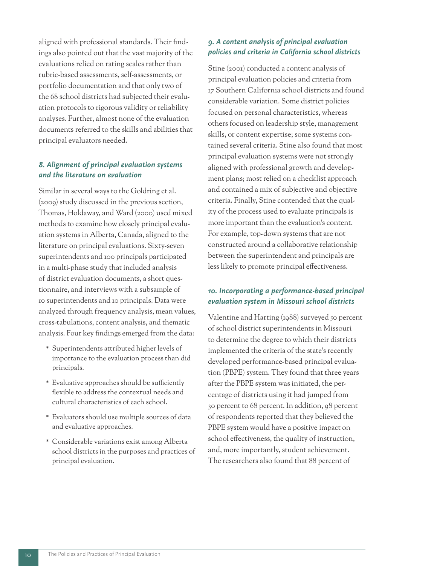aligned with professional standards. Their findings also pointed out that the vast majority of the evaluations relied on rating scales rather than rubric-based assessments, self-assessments, or portfolio documentation and that only two of the 68 school districts had subjected their evaluation protocols to rigorous validity or reliability analyses. Further, almost none of the evaluation documents referred to the skills and abilities that principal evaluators needed.

#### *8. Alignment of principal evaluation systems and the literature on evaluation*

Similar in several ways to the Goldring et al. (2009) study discussed in the previous section, Thomas, Holdaway, and Ward (2000) used mixed methods to examine how closely principal evaluation systems in Alberta, Canada, aligned to the literature on principal evaluations. Sixty-seven superintendents and 100 principals participated in a multi-phase study that included analysis of district evaluation documents, a short questionnaire, and interviews with a subsample of 10 superintendents and 10 principals. Data were analyzed through frequency analysis, mean values, cross-tabulations, content analysis, and thematic analysis. Four key findings emerged from the data:

- \* Superintendents attributed higher levels of importance to the evaluation process than did principals.
- \* Evaluative approaches should be sufficiently flexible to address the contextual needs and cultural characteristics of each school.
- \* Evaluators should use multiple sources of data and evaluative approaches.
- \* Considerable variations exist among Alberta school districts in the purposes and practices of principal evaluation.

#### *9. A content analysis of principal evaluation policies and criteria in California school districts*

Stine (2001) conducted a content analysis of principal evaluation policies and criteria from 17 Southern California school districts and found considerable variation. Some district policies focused on personal characteristics, whereas others focused on leadership style, management skills, or content expertise; some systems contained several criteria. Stine also found that most principal evaluation systems were not strongly aligned with professional growth and development plans; most relied on a checklist approach and contained a mix of subjective and objective criteria. Finally, Stine contended that the quality of the process used to evaluate principals is more important than the evaluation's content. For example, top-down systems that are not constructed around a collaborative relationship between the superintendent and principals are less likely to promote principal effectiveness.

#### *10. Incorporating a performance-based principal evaluation system in Missouri school districts*

Valentine and Harting (1988) surveyed 50 percent of school district superintendents in Missouri to determine the degree to which their districts implemented the criteria of the state's recently developed performance-based principal evaluation (PBPE) system. They found that three years after the PBPE system was initiated, the percentage of districts using it had jumped from 30 percent to 68 percent. In addition, 98 percent of respondents reported that they believed the PBPE system would have a positive impact on school effectiveness, the quality of instruction, and, more importantly, student achievement. The researchers also found that 88 percent of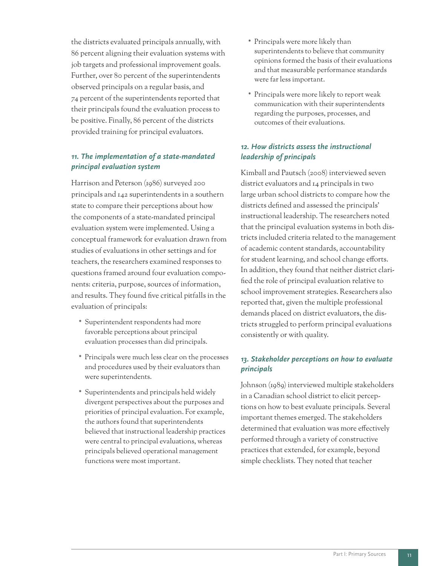the districts evaluated principals annually, with 86 percent aligning their evaluation systems with job targets and professional improvement goals. Further, over 80 percent of the superintendents observed principals on a regular basis, and 74 percent of the superintendents reported that their principals found the evaluation process to be positive. Finally, 86 percent of the districts provided training for principal evaluators.

#### *11. The implementation of a state-mandated principal evaluation system*

Harrison and Peterson (1986) surveyed 200 principals and 142 superintendents in a southern state to compare their perceptions about how the components of a state-mandated principal evaluation system were implemented. Using a conceptual framework for evaluation drawn from studies of evaluations in other settings and for teachers, the researchers examined responses to questions framed around four evaluation components: criteria, purpose, sources of information, and results. They found five critical pitfalls in the evaluation of principals:

- \* Superintendent respondents had more favorable perceptions about principal evaluation processes than did principals.
- \* Principals were much less clear on the processes and procedures used by their evaluators than were superintendents.
- \* Superintendents and principals held widely divergent perspectives about the purposes and priorities of principal evaluation. For example, the authors found that superintendents believed that instructional leadership practices were central to principal evaluations, whereas principals believed operational management functions were most important.
- \* Principals were more likely than superintendents to believe that community opinions formed the basis of their evaluations and that measurable performance standards were far less important.
- \* Principals were more likely to report weak communication with their superintendents regarding the purposes, processes, and outcomes of their evaluations.

#### *12. How districts assess the instructional leadership of principals*

Kimball and Pautsch (2008) interviewed seven district evaluators and 14 principals in two large urban school districts to compare how the districts defined and assessed the principals' instructional leadership. The researchers noted that the principal evaluation systems in both districts included criteria related to the management of academic content standards, accountability for student learning, and school change efforts. In addition, they found that neither district clarified the role of principal evaluation relative to school improvement strategies. Researchers also reported that, given the multiple professional demands placed on district evaluators, the districts struggled to perform principal evaluations consistently or with quality.

#### *13. Stakeholder perceptions on how to evaluate principals*

Johnson (1989) interviewed multiple stakeholders in a Canadian school district to elicit perceptions on how to best evaluate principals. Several important themes emerged. The stakeholders determined that evaluation was more effectively performed through a variety of constructive practices that extended, for example, beyond simple checklists. They noted that teacher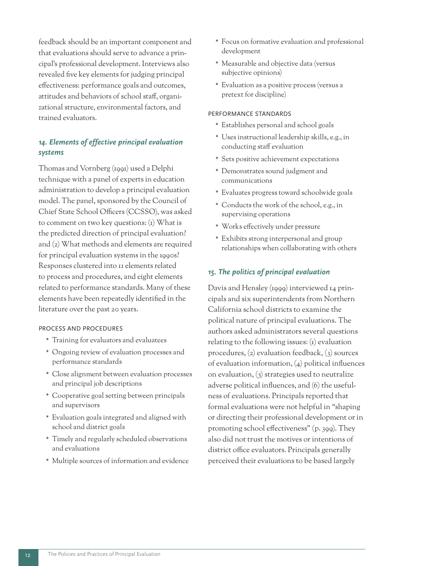feedback should be an important component and that evaluations should serve to advance a principal's professional development. Interviews also revealed five key elements for judging principal effectiveness: performance goals and outcomes, attitudes and behaviors of school staff, organizational structure, environmental factors, and trained evaluators.

#### *14. Elements of effective principal evaluation systems*

Thomas and Vornberg (1991) used a Delphi technique with a panel of experts in education administration to develop a principal evaluation model. The panel, sponsored by the Council of Chief State School Officers (CCSSO), was asked to comment on two key questions:  $(i)$  What is the predicted direction of principal evaluation? and (2) What methods and elements are required for principal evaluation systems in the 1990s? Responses clustered into 11 elements related to process and procedures, and eight elements related to performance standards. Many of these elements have been repeatedly identified in the literature over the past 20 years.

#### PROCESS AND PROCEDURES

- \* Training for evaluators and evaluatees
- \* Ongoing review of evaluation processes and performance standards
- \* Close alignment between evaluation processes and principal job descriptions
- \* Cooperative goal setting between principals and supervisors
- \* Evaluation goals integrated and aligned with school and district goals
- \* Timely and regularly scheduled observations and evaluations
- \* Multiple sources of information and evidence
- \* Focus on formative evaluation and professional development
- \* Measurable and objective data (versus subjective opinions)
- \* Evaluation as a positive process (versus a pretext for discipline)

#### PERFORMANCE STANDARDS

- \* Establishes personal and school goals
- \* Uses instructional leadership skills, e.g., in conducting staff evaluation
- \* Sets positive achievement expectations
- \* Demonstrates sound judgment and communications
- \* Evaluates progress toward schoolwide goals
- \* Conducts the work of the school, e.g., in supervising operations
- \* Works effectively under pressure
- \* Exhibits strong interpersonal and group relationships when collaborating with others

#### *15. The politics of principal evaluation*

Davis and Hensley (1999) interviewed 14 principals and six superintendents from Northern California school districts to examine the political nature of principal evaluations. The authors asked administrators several questions relating to the following issues: (1) evaluation procedures, (2) evaluation feedback, (3) sources of evaluation information, (4) political influences on evaluation,  $(5)$  strategies used to neutralize adverse political influences, and (6) the usefulness of evaluations. Principals reported that formal evaluations were not helpful in "shaping or directing their professional development or in promoting school effectiveness" (p. 399). They also did not trust the motives or intentions of district office evaluators. Principals generally perceived their evaluations to be based largely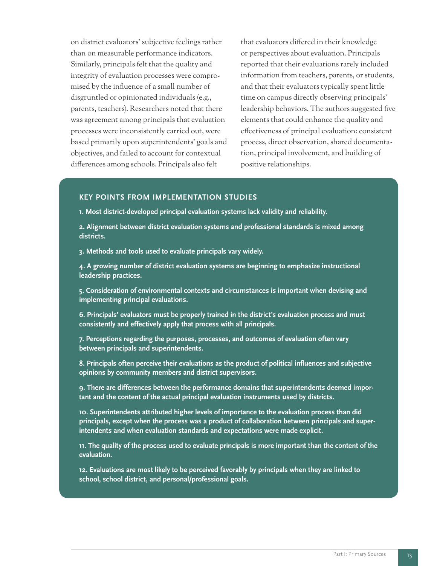on district evaluators' subjective feelings rather than on measurable performance indicators. Similarly, principals felt that the quality and integrity of evaluation processes were compromised by the influence of a small number of disgruntled or opinionated individuals (e.g., parents, teachers). Researchers noted that there was agreement among principals that evaluation processes were inconsistently carried out, were based primarily upon superintendents' goals and objectives, and failed to account for contextual differences among schools. Principals also felt

that evaluators differed in their knowledge or perspectives about evaluation. Principals reported that their evaluations rarely included information from teachers, parents, or students, and that their evaluators typically spent little time on campus directly observing principals' leadership behaviors. The authors suggested five elements that could enhance the quality and effectiveness of principal evaluation: consistent process, direct observation, shared documentation, principal involvement, and building of positive relationships.

#### **KEY POINTS FROM IMPLEMENTATION STUDIES**

**1. Most district-developed principal evaluation systems lack validity and reliability.**

**2. Alignment between district evaluation systems and professional standards is mixed among districts.** 

**3. Methods and tools used to evaluate principals vary widely.** 

**4. A growing number of district evaluation systems are beginning to emphasize instructional leadership practices.**

**5. Consideration of environmental contexts and circumstances is important when devising and implementing principal evaluations.**

**6. Principals' evaluators must be properly trained in the district's evaluation process and must consistently and effectively apply that process with all principals.**

**7. Perceptions regarding the purposes, processes, and outcomes of evaluation often vary between principals and superintendents.**

**8. Principals often perceive their evaluations as the product of political influences and subjective opinions by community members and district supervisors.**

**9. There are differences between the performance domains that superintendents deemed important and the content of the actual principal evaluation instruments used by districts.**

**10. Superintendents attributed higher levels of importance to the evaluation process than did principals, except when the process was a product of collaboration between principals and superintendents and when evaluation standards and expectations were made explicit.**

**11. The quality of the process used to evaluate principals is more important than the content of the evaluation.**

**12. Evaluations are most likely to be perceived favorably by principals when they are linked to school, school district, and personal/professional goals.**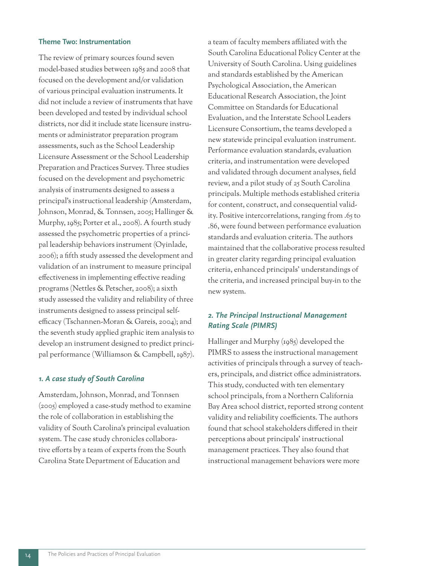#### **Theme Two: Instrumentation**

The review of primary sources found seven model-based studies between 1985 and 2008 that focused on the development and/or validation of various principal evaluation instruments. It did not include a review of instruments that have been developed and tested by individual school districts, nor did it include state licensure instruments or administrator preparation program assessments, such as the School Leadership Licensure Assessment or the School Leadership Preparation and Practices Survey. Three studies focused on the development and psychometric analysis of instruments designed to assess a principal's instructional leadership (Amsterdam, Johnson, Monrad, & Tonnsen, 2005; Hallinger & Murphy, 1985; Porter et al., 2008). A fourth study assessed the psychometric properties of a principal leadership behaviors instrument (Oyinlade, 2006); a fifth study assessed the development and validation of an instrument to measure principal effectiveness in implementing effective reading programs (Nettles & Petscher, 2008); a sixth study assessed the validity and reliability of three instruments designed to assess principal selfefficacy (Tschannen-Moran & Gareis, 2004); and the seventh study applied graphic item analysis to develop an instrument designed to predict principal performance (Williamson & Campbell, 1987).

#### *1. A case study of South Carolina*

Amsterdam, Johnson, Monrad, and Tonnsen (2005) employed a case-study method to examine the role of collaboration in establishing the validity of South Carolina's principal evaluation system. The case study chronicles collaborative efforts by a team of experts from the South Carolina State Department of Education and

a team of faculty members affiliated with the South Carolina Educational Policy Center at the University of South Carolina. Using guidelines and standards established by the American Psychological Association, the American Educational Research Association, the Joint Committee on Standards for Educational Evaluation, and the Interstate School Leaders Licensure Consortium, the teams developed a new statewide principal evaluation instrument. Performance evaluation standards, evaluation criteria, and instrumentation were developed and validated through document analyses, field review, and a pilot study of 25 South Carolina principals. Multiple methods established criteria for content, construct, and consequential validity. Positive intercorrelations, ranging from .65 to .86, were found between performance evaluation standards and evaluation criteria. The authors maintained that the collaborative process resulted in greater clarity regarding principal evaluation criteria, enhanced principals' understandings of the criteria, and increased principal buy-in to the new system.

#### *2. The Principal Instructional Management Rating Scale (PIMRS)*

Hallinger and Murphy (1985) developed the PIMRS to assess the instructional management activities of principals through a survey of teachers, principals, and district office administrators. This study, conducted with ten elementary school principals, from a Northern California Bay Area school district, reported strong content validity and reliability coefficients. The authors found that school stakeholders differed in their perceptions about principals' instructional management practices. They also found that instructional management behaviors were more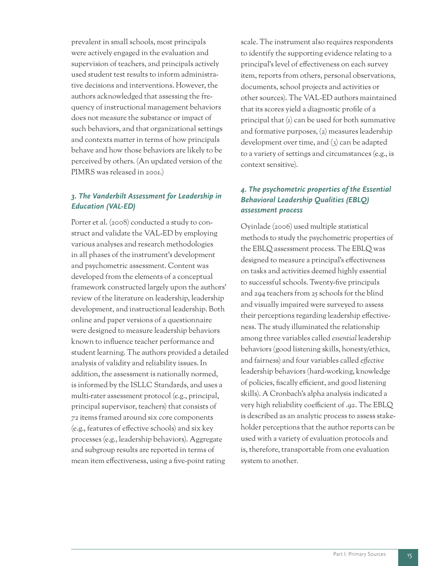prevalent in small schools, most principals were actively engaged in the evaluation and supervision of teachers, and principals actively used student test results to inform administrative decisions and interventions. However, the authors acknowledged that assessing the frequency of instructional management behaviors does not measure the substance or impact of such behaviors, and that organizational settings and contexts matter in terms of how principals behave and how those behaviors are likely to be perceived by others. (An updated version of the PIMRS was released in 2001.

#### *3. The Vanderbilt Assessment for Leadership in Education (VAL-ED)*

Porter et al. (2008) conducted a study to construct and validate the VAL-ED by employing various analyses and research methodologies in all phases of the instrument's development and psychometric assessment. Content was developed from the elements of a conceptual framework constructed largely upon the authors' review of the literature on leadership, leadership development, and instructional leadership. Both online and paper versions of a questionnaire were designed to measure leadership behaviors known to influence teacher performance and student learning. The authors provided a detailed analysis of validity and reliability issues. In addition, the assessment is nationally normed, is informed by the ISLLC Standards, and uses a multi-rater assessment protocol (e.g., principal, principal supervisor, teachers) that consists of 72 items framed around six core components (e.g., features of effective schools) and six key processes (e.g., leadership behaviors). Aggregate and subgroup results are reported in terms of mean item effectiveness, using a five-point rating

scale. The instrument also requires respondents to identify the supporting evidence relating to a principal's level of effectiveness on each survey item, reports from others, personal observations, documents, school projects and activities or other sources). The VAL-ED authors maintained that its scores yield a diagnostic profile of a principal that (1) can be used for both summative and formative purposes, (2) measures leadership development over time, and (3) can be adapted to a variety of settings and circumstances (e.g., is context sensitive).

#### *4. The psychometric properties of the Essential Behavioral Leadership Qualities (EBLQ) assessment process*

Oyinlade (2006) used multiple statistical methods to study the psychometric properties of the EBLQ assessment process. The EBLQ was designed to measure a principal's effectiveness on tasks and activities deemed highly essential to successful schools. Twenty-five principals and 294 teachers from 25 schools for the blind and visually impaired were surveyed to assess their perceptions regarding leadership effectiveness. The study illuminated the relationship among three variables called *essential* leadership behaviors (good listening skills, honesty/ethics, and fairness) and four variables called *effective* leadership behaviors (hard-working, knowledge of policies, fiscally efficient, and good listening skills). A Cronbach's alpha analysis indicated a very high reliability coefficient of .92. The EBLQ is described as an analytic process to assess stakeholder perceptions that the author reports can be used with a variety of evaluation protocols and is, therefore, transportable from one evaluation system to another.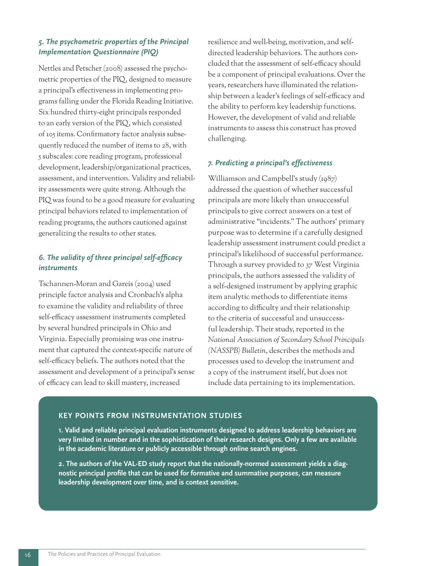#### *5. The psychometric properties of the Principal Implementation Questionnaire (PIQ)*

Nettles and Petscher (2008) assessed the psychometric properties of the PIQ, designed to measure a principal's effectiveness in implementing programs falling under the Florida Reading Initiative. Six hundred thirty-eight principals responded to an early version of the PIQ, which consisted of 105 items. Confirmatory factor analysis subsequently reduced the number of items to 28, with 5 subscales: core reading program, professional development, leadership/organizational practices, assessment, and intervention. Validity and reliability assessments were quite strong. Although the PIQ was found to be a good measure for evaluating principal behaviors related to implementation of reading programs, the authors cautioned against generalizing the results to other states.

#### *6. The validity of three principal self-efficacy instruments*

Tschannen-Moran and Gareis (2004) used principle factor analysis and Cronbach's alpha to examine the validity and reliability of three self-efficacy assessment instruments completed by several hundred principals in Ohio and Virginia. Especially promising was one instrument that captured the context-specific nature of self-efficacy beliefs. The authors noted that the assessment and development of a principal's sense of efficacy can lead to skill mastery, increased

resilience and well-being, motivation, and selfdirected leadership behaviors. The authors concluded that the assessment of self-efficacy should be a component of principal evaluations. Over the years, researchers have illuminated the relationship between a leader's feelings of self-efficacy and the ability to perform key leadership functions. However, the development of valid and reliable instruments to assess this construct has proved challenging.

#### *7. Predicting a principal's effectiveness*

Williamson and Campbell's study (1987) addressed the question of whether successful principals are more likely than unsuccessful principals to give correct answers on a test of administrative "incidents." The authors' primary purpose was to determine if a carefully designed leadership assessment instrument could predict a principal's likelihood of successful performance. Through a survey provided to 37 West Virginia principals, the authors assessed the validity of a self-designed instrument by applying graphic item analytic methods to differentiate items according to difficulty and their relationship to the criteria of successful and unsuccessful leadership. Their study, reported in the *National Association of Secondary School Principals (NASSPB) Bulletin*, describes the methods and processes used to develop the instrument and a copy of the instrument itself, but does not include data pertaining to its implementation.

#### **KEY POINTS FROM INSTRUMENTATION STUDIES**

**1. Valid and reliable principal evaluation instruments designed to address leadership behaviors are very limited in number and in the sophistication of their research designs. Only a few are available in the academic literature or publicly accessible through online search engines.** 

**2. The authors of the VAL-ED study report that the nationally-normed assessment yields a diagnostic principal profile that can be used for formative and summative purposes, can measure leadership development over time, and is context sensitive.**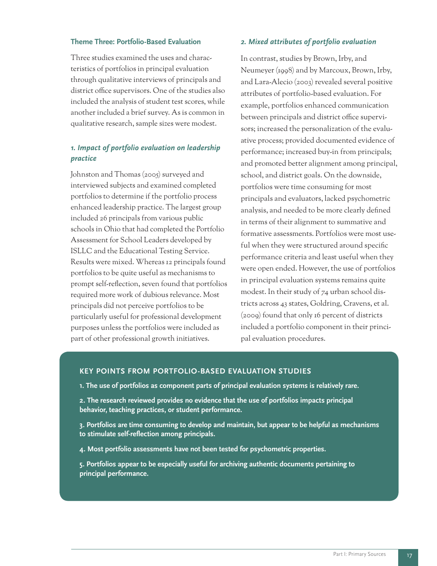#### **Theme Three: Portfolio-Based Evaluation**

Three studies examined the uses and characteristics of portfolios in principal evaluation through qualitative interviews of principals and district office supervisors. One of the studies also included the analysis of student test scores, while another included a brief survey. As is common in qualitative research, sample sizes were modest.

#### *1. Impact of portfolio evaluation on leadership practice*

Johnston and Thomas (2005) surveyed and interviewed subjects and examined completed portfolios to determine if the portfolio process enhanced leadership practice. The largest group included 26 principals from various public schools in Ohio that had completed the Portfolio Assessment for School Leaders developed by ISLLC and the Educational Testing Service. Results were mixed. Whereas 12 principals found portfolios to be quite useful as mechanisms to prompt self-reflection, seven found that portfolios required more work of dubious relevance. Most principals did not perceive portfolios to be particularly useful for professional development purposes unless the portfolios were included as part of other professional growth initiatives.

#### *2. Mixed attributes of portfolio evaluation*

In contrast, studies by Brown, Irby, and Neumeyer (1998) and by Marcoux, Brown, Irby, and Lara-Alecio (2003) revealed several positive attributes of portfolio-based evaluation. For example, portfolios enhanced communication between principals and district office supervisors; increased the personalization of the evaluative process; provided documented evidence of performance; increased buy-in from principals; and promoted better alignment among principal, school, and district goals. On the downside, portfolios were time consuming for most principals and evaluators, lacked psychometric analysis, and needed to be more clearly defined in terms of their alignment to summative and formative assessments. Portfolios were most useful when they were structured around specific performance criteria and least useful when they were open ended. However, the use of portfolios in principal evaluation systems remains quite modest. In their study of 74 urban school districts across 43 states, Goldring, Cravens, et al. (2009) found that only 16 percent of districts included a portfolio component in their principal evaluation procedures.

#### **KEY POINTS FROM PORTFOLIO-BASED EVALUATION STUDIES**

- **1. The use of portfolios as component parts of principal evaluation systems is relatively rare.**
- **2. The research reviewed provides no evidence that the use of portfolios impacts principal behavior, teaching practices, or student performance.**

**3. Portfolios are time consuming to develop and maintain, but appear to be helpful as mechanisms to stimulate self-reflection among principals.**

**4. Most portfolio assessments have not been tested for psychometric properties.**

**5. Portfolios appear to be especially useful for archiving authentic documents pertaining to principal performance.**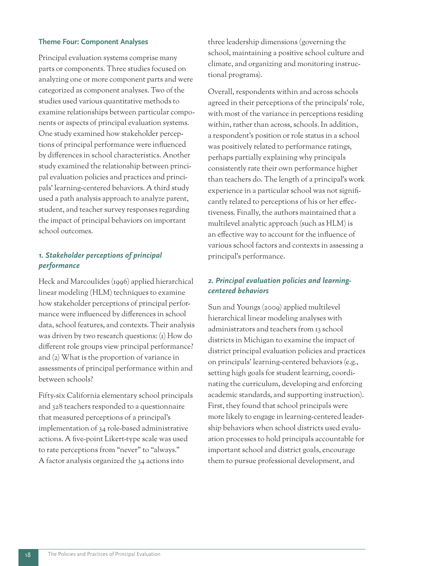#### **Theme Four: Component Analyses**

Principal evaluation systems comprise many parts or components. Three studies focused on analyzing one or more component parts and were categorized as component analyses. Two of the studies used various quantitative methods to examine relationships between particular components or aspects of principal evaluation systems. One study examined how stakeholder perceptions of principal performance were influenced by differences in school characteristics. Another study examined the relationship between principal evaluation policies and practices and principals' learning-centered behaviors. A third study used a path analysis approach to analyze parent, student, and teacher survey responses regarding the impact of principal behaviors on important school outcomes.

#### *1. Stakeholder perceptions of principal performance*

Heck and Marcoulides (1996) applied hierarchical linear modeling (HLM) techniques to examine how stakeholder perceptions of principal performance were influenced by differences in school data, school features, and contexts. Their analysis was driven by two research questions: (1) How do different role groups view principal performance? and (2) What is the proportion of variance in assessments of principal performance within and between schools?

Fifty-six California elementary school principals and 328 teachers responded to a questionnaire that measured perceptions of a principal's implementation of 34 role-based administrative actions. A five-point Likert-type scale was used to rate perceptions from "never" to "always." A factor analysis organized the 34 actions into

three leadership dimensions (governing the school, maintaining a positive school culture and climate, and organizing and monitoring instructional programs).

Overall, respondents within and across schools agreed in their perceptions of the principals' role, with most of the variance in perceptions residing within, rather than across, schools. In addition, a respondent's position or role status in a school was positively related to performance ratings, perhaps partially explaining why principals consistently rate their own performance higher than teachers do. The length of a principal's work experience in a particular school was not significantly related to perceptions of his or her effectiveness. Finally, the authors maintained that a multilevel analytic approach (such as HLM) is an effective way to account for the influence of various school factors and contexts in assessing a principal's performance.

#### *2. Principal evaluation policies and learningcentered behaviors*

Sun and Youngs (2009) applied multilevel hierarchical linear modeling analyses with administrators and teachers from 13 school districts in Michigan to examine the impact of district principal evaluation policies and practices on principals' learning-centered behaviors (e.g., setting high goals for student learning, coordinating the curriculum, developing and enforcing academic standards, and supporting instruction). First, they found that school principals were more likely to engage in learning-centered leadership behaviors when school districts used evaluation processes to hold principals accountable for important school and district goals, encourage them to pursue professional development, and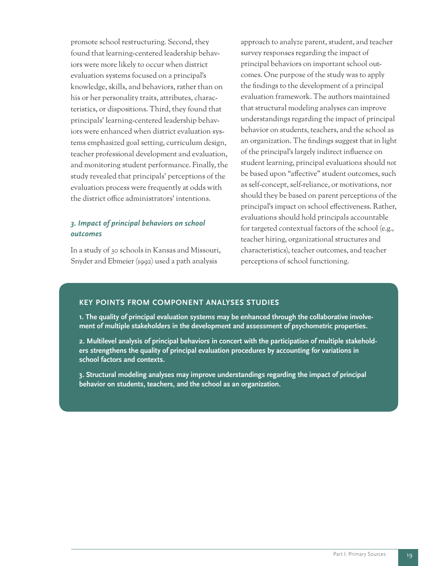promote school restructuring. Second, they found that learning-centered leadership behaviors were more likely to occur when district evaluation systems focused on a principal's knowledge, skills, and behaviors, rather than on his or her personality traits, attributes, characteristics, or dispositions. Third, they found that principals' learning-centered leadership behaviors were enhanced when district evaluation systems emphasized goal setting, curriculum design, teacher professional development and evaluation, and monitoring student performance. Finally, the study revealed that principals' perceptions of the evaluation process were frequently at odds with the district office administrators' intentions.

#### *3. Impact of principal behaviors on school outcomes*

In a study of 30 schools in Kansas and Missouri, Snyder and Ebmeier (1992) used a path analysis

approach to analyze parent, student, and teacher survey responses regarding the impact of principal behaviors on important school outcomes. One purpose of the study was to apply the findings to the development of a principal evaluation framework. The authors maintained that structural modeling analyses can improve understandings regarding the impact of principal behavior on students, teachers, and the school as an organization. The findings suggest that in light of the principal's largely indirect influence on student learning, principal evaluations should *not* be based upon "affective" student outcomes, such as self-concept, self-reliance, or motivations, nor should they be based on parent perceptions of the principal's impact on school effectiveness. Rather, evaluations should hold principals accountable for targeted contextual factors of the school (e.g., teacher hiring, organizational structures and characteristics), teacher outcomes, and teacher perceptions of school functioning.

#### **KEY POINTS FROM COMPONENT ANALYSES STUDIES**

**1. The quality of principal evaluation systems may be enhanced through the collaborative involvement of multiple stakeholders in the development and assessment of psychometric properties.**

**2. Multilevel analysis of principal behaviors in concert with the participation of multiple stakeholders strengthens the quality of principal evaluation procedures by accounting for variations in school factors and contexts.**

**3. Structural modeling analyses may improve understandings regarding the impact of principal behavior on students, teachers, and the school as an organization.**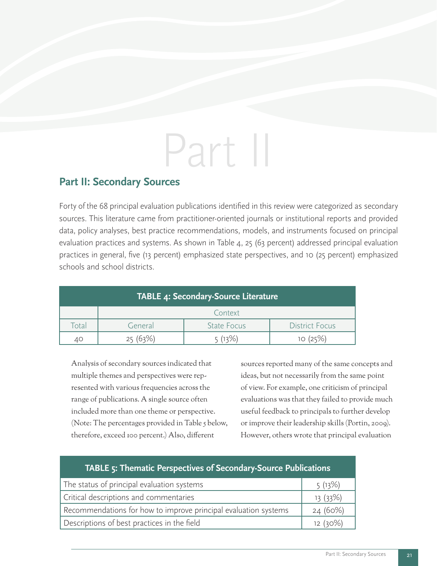# Part II

### **Part II: Secondary Sources**

Forty of the 68 principal evaluation publications identified in this review were categorized as secondary sources. This literature came from practitioner-oriented journals or institutional reports and provided data, policy analyses, best practice recommendations, models, and instruments focused on principal evaluation practices and systems. As shown in Table 4, 25 (63 percent) addressed principal evaluation practices in general, five (13 percent) emphasized state perspectives, and 10 (25 percent) emphasized schools and school districts.

| TABLE 4: Secondary-Source Literature |         |                    |                       |
|--------------------------------------|---------|--------------------|-----------------------|
|                                      |         | Context            |                       |
| Total                                | General | <b>State Focus</b> | <b>District Focus</b> |
| 40                                   |         | (12%)              |                       |

Analysis of secondary sources indicated that multiple themes and perspectives were represented with various frequencies across the range of publications. A single source often included more than one theme or perspective. (Note: The percentages provided in Table 5 below, therefore, exceed 100 percent.) Also, different

sources reported many of the same concepts and ideas, but not necessarily from the same point of view. For example, one criticism of principal evaluations was that they failed to provide much useful feedback to principals to further develop or improve their leadership skills (Portin, 2009). However, others wrote that principal evaluation

| TABLE 5: Thematic Perspectives of Secondary-Source Publications |         |  |  |
|-----------------------------------------------------------------|---------|--|--|
| The status of principal evaluation systems                      | 5(13%)  |  |  |
| Critical descriptions and commentaries                          | 13(33%) |  |  |
| Recommendations for how to improve principal evaluation systems | 24(60%) |  |  |
| Descriptions of best practices in the field                     | 12(30%) |  |  |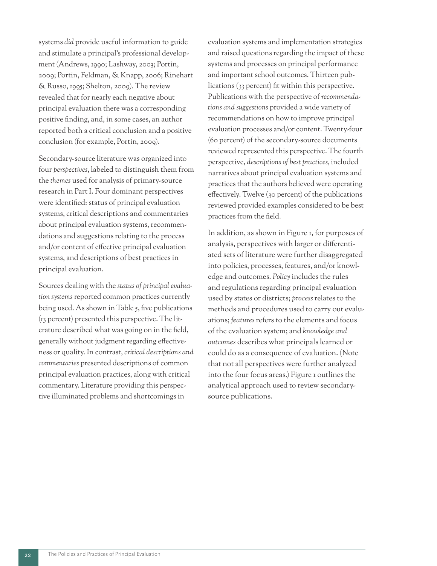systems *did* provide useful information to guide and stimulate a principal's professional development (Andrews, 1990; Lashway, 2003; Portin, 2009; Portin, Feldman, & Knapp, 2006; Rinehart & Russo, 1995; Shelton, 2009). The review revealed that for nearly each negative about principal evaluation there was a corresponding positive finding, and, in some cases, an author reported both a critical conclusion and a positive conclusion (for example, Portin, 2009).

Secondary-source literature was organized into four *perspectives*, labeled to distinguish them from the *themes* used for analysis of primary-source research in Part I. Four dominant perspectives were identified: status of principal evaluation systems, critical descriptions and commentaries about principal evaluation systems, recommendations and suggestions relating to the process and/or content of effective principal evaluation systems, and descriptions of best practices in principal evaluation.

Sources dealing with the *status of principal evaluation systems* reported common practices currently being used. As shown in Table 5, five publications (13 percent) presented this perspective. The literature described what was going on in the field, generally without judgment regarding effectiveness or quality. In contrast, *critical descriptions and commentaries* presented descriptions of common principal evaluation practices, along with critical commentary. Literature providing this perspective illuminated problems and shortcomings in

evaluation systems and implementation strategies and raised questions regarding the impact of these systems and processes on principal performance and important school outcomes. Thirteen publications (33 percent) fit within this perspective. Publications with the perspective of *recommendations and suggestions* provided a wide variety of recommendations on how to improve principal evaluation processes and/or content. Twenty-four (60 percent) of the secondary-source documents reviewed represented this perspective. The fourth perspective, *descriptions of best practices,* included narratives about principal evaluation systems and practices that the authors believed were operating effectively. Twelve (30 percent) of the publications reviewed provided examples considered to be best practices from the field.

In addition, as shown in Figure 1, for purposes of analysis, perspectives with larger or differentiated sets of literature were further disaggregated into policies, processes, features, and/or knowledge and outcomes. *Policy* includes the rules and regulations regarding principal evaluation used by states or districts; *process* relates to the methods and procedures used to carry out evaluations; *features* refers to the elements and focus of the evaluation system; and *knowledge and outcomes* describes what principals learned or could do as a consequence of evaluation. (Note that not all perspectives were further analyzed into the four focus areas.) Figure 1 outlines the analytical approach used to review secondarysource publications.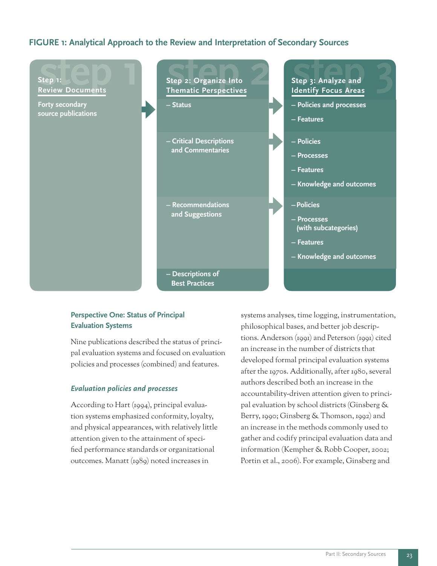#### **FIGURE 1: Analytical Approach to the Review and Interpretation of Secondary Sources**



#### **Perspective One: Status of Principal Evaluation Systems**

Nine publications described the status of principal evaluation systems and focused on evaluation policies and processes (combined) and features.

#### *Evaluation policies and processes*

According to Hart (1994), principal evaluation systems emphasized conformity, loyalty, and physical appearances, with relatively little attention given to the attainment of specified performance standards or organizational outcomes. Manatt (1989) noted increases in

systems analyses, time logging, instrumentation, philosophical bases, and better job descriptions. Anderson (1991) and Peterson (1991) cited an increase in the number of districts that developed formal principal evaluation systems after the 1970s. Additionally, after 1980, several authors described both an increase in the accountability-driven attention given to principal evaluation by school districts (Ginsberg & Berry, 1990; Ginsberg & Thomson, 1992) and an increase in the methods commonly used to gather and codify principal evaluation data and information (Kempher & Robb Cooper, 2002; Portin et al., 2006). For example, Ginsberg and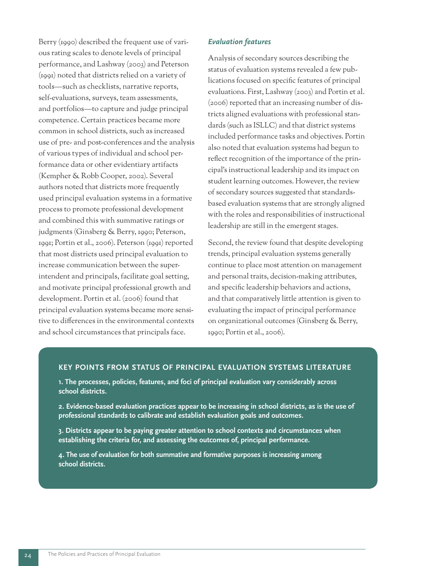Berry (1990) described the frequent use of various rating scales to denote levels of principal performance, and Lashway (2003) and Peterson (1991) noted that districts relied on a variety of tools—such as checklists, narrative reports, self-evaluations, surveys, team assessments, and portfolios—to capture and judge principal competence. Certain practices became more common in school districts, such as increased use of pre- and post-conferences and the analysis of various types of individual and school performance data or other evidentiary artifacts (Kempher & Robb Cooper, 2002). Several authors noted that districts more frequently used principal evaluation systems in a formative process to promote professional development and combined this with summative ratings or judgments (Ginsberg & Berry, 1990; Peterson, 1991; Portin et al., 2006). Peterson (1991) reported that most districts used principal evaluation to increase communication between the superintendent and principals, facilitate goal setting, and motivate principal professional growth and development. Portin et al. (2006) found that principal evaluation systems became more sensitive to differences in the environmental contexts and school circumstances that principals face.

#### *Evaluation features*

Analysis of secondary sources describing the status of evaluation systems revealed a few publications focused on specific features of principal evaluations. First, Lashway (2003) and Portin et al. (2006) reported that an increasing number of districts aligned evaluations with professional standards (such as ISLLC) and that district systems included performance tasks and objectives. Portin also noted that evaluation systems had begun to reflect recognition of the importance of the principal's instructional leadership and its impact on student learning outcomes. However, the review of secondary sources suggested that standardsbased evaluation systems that are strongly aligned with the roles and responsibilities of instructional leadership are still in the emergent stages.

Second, the review found that despite developing trends, principal evaluation systems generally continue to place most attention on management and personal traits, decision-making attributes, and specific leadership behaviors and actions, and that comparatively little attention is given to evaluating the impact of principal performance on organizational outcomes (Ginsberg & Berry, 1990; Portin et al., 2006).

#### **KEY POINTS FROM STATUS OF PRINCIPAL EVALUATION SYSTEMS LITERATURE**

**1. The processes, policies, features, and foci of principal evaluation vary considerably across school districts.**

**2. Evidence-based evaluation practices appear to be increasing in school districts, as is the use of professional standards to calibrate and establish evaluation goals and outcomes.**

**3. Districts appear to be paying greater attention to school contexts and circumstances when establishing the criteria for, and assessing the outcomes of, principal performance.**

**4. The use of evaluation for both summative and formative purposes is increasing among school districts.**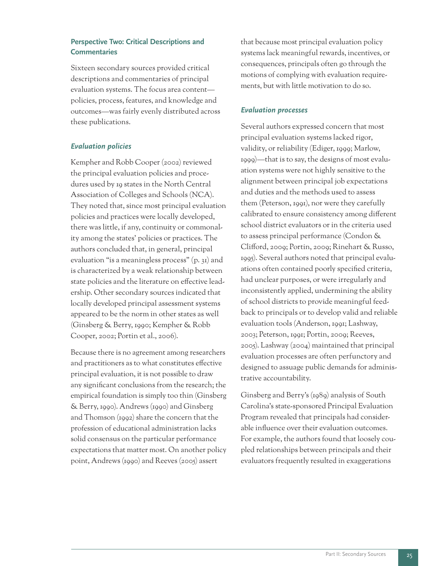#### **Perspective Two: Critical Descriptions and Commentaries**

Sixteen secondary sources provided critical descriptions and commentaries of principal evaluation systems. The focus area content policies, process, features, and knowledge and outcomes—was fairly evenly distributed across these publications.

#### *Evaluation policies*

Kempher and Robb Cooper (2002) reviewed the principal evaluation policies and procedures used by 19 states in the North Central Association of Colleges and Schools (NCA). They noted that, since most principal evaluation policies and practices were locally developed, there was little, if any, continuity or commonality among the states' policies or practices. The authors concluded that, in general, principal evaluation "is a meaningless process" (p. 31) and is characterized by a weak relationship between state policies and the literature on effective leadership. Other secondary sources indicated that locally developed principal assessment systems appeared to be the norm in other states as well (Ginsberg & Berry, 1990; Kempher & Robb Cooper, 2002; Portin et al., 2006).

Because there is no agreement among researchers and practitioners as to what constitutes effective principal evaluation, it is not possible to draw any significant conclusions from the research; the empirical foundation is simply too thin (Ginsberg & Berry, 1990). Andrews (1990) and Ginsberg and Thomson (1992) share the concern that the profession of educational administration lacks solid consensus on the particular performance expectations that matter most. On another policy point, Andrews (1990) and Reeves (2005) assert

that because most principal evaluation policy systems lack meaningful rewards, incentives, or consequences, principals often go through the motions of complying with evaluation requirements, but with little motivation to do so.

#### *Evaluation processes*

Several authors expressed concern that most principal evaluation systems lacked rigor, validity, or reliability (Ediger, 1999; Marlow, 1999)—that is to say, the designs of most evaluation systems were not highly sensitive to the alignment between principal job expectations and duties and the methods used to assess them (Peterson, 1991), nor were they carefully calibrated to ensure consistency among different school district evaluators or in the criteria used to assess principal performance (Condon & Clifford, 2009; Portin, 2009; Rinehart & Russo, 1995). Several authors noted that principal evaluations often contained poorly specified criteria, had unclear purposes, or were irregularly and inconsistently applied, undermining the ability of school districts to provide meaningful feedback to principals or to develop valid and reliable evaluation tools (Anderson, 1991; Lashway, 2003; Peterson, 1991; Portin, 2009; Reeves, 2005). Lashway (2004) maintained that principal evaluation processes are often perfunctory and designed to assuage public demands for administrative accountability.

Ginsberg and Berry's (1989) analysis of South Carolina's state-sponsored Principal Evaluation Program revealed that principals had considerable influence over their evaluation outcomes. For example, the authors found that loosely coupled relationships between principals and their evaluators frequently resulted in exaggerations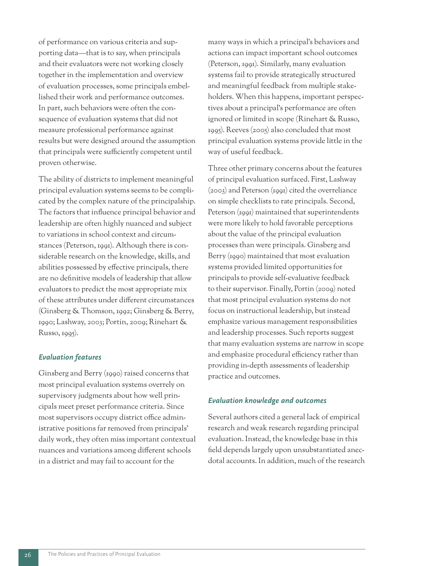of performance on various criteria and supporting data—that is to say, when principals and their evaluators were not working closely together in the implementation and overview of evaluation processes, some principals embellished their work and performance outcomes. In part, such behaviors were often the consequence of evaluation systems that did not measure professional performance against results but were designed around the assumption that principals were sufficiently competent until proven otherwise.

The ability of districts to implement meaningful principal evaluation systems seems to be complicated by the complex nature of the principalship. The factors that influence principal behavior and leadership are often highly nuanced and subject to variations in school context and circumstances (Peterson, 1991). Although there is considerable research on the knowledge, skills, and abilities possessed by effective principals, there are no definitive models of leadership that allow evaluators to predict the most appropriate mix of these attributes under different circumstances (Ginsberg & Thomson, 1992; Ginsberg & Berry, 1990; Lashway, 2003; Portin, 2009; Rinehart & Russo, 1995).

#### *Evaluation features*

Ginsberg and Berry (1990) raised concerns that most principal evaluation systems overrely on supervisory judgments about how well principals meet preset performance criteria. Since most supervisors occupy district office administrative positions far removed from principals' daily work, they often miss important contextual nuances and variations among different schools in a district and may fail to account for the

many ways in which a principal's behaviors and actions can impact important school outcomes (Peterson, 1991). Similarly, many evaluation systems fail to provide strategically structured and meaningful feedback from multiple stakeholders. When this happens, important perspectives about a principal's performance are often ignored or limited in scope (Rinehart & Russo, 1995). Reeves (2005) also concluded that most principal evaluation systems provide little in the way of useful feedback.

Three other primary concerns about the features of principal evaluation surfaced. First, Lashway (2003) and Peterson (1991) cited the overreliance on simple checklists to rate principals. Second, Peterson (1991) maintained that superintendents were more likely to hold favorable perceptions about the value of the principal evaluation processes than were principals. Ginsberg and Berry (1990) maintained that most evaluation systems provided limited opportunities for principals to provide self-evaluative feedback to their supervisor. Finally, Portin (2009) noted that most principal evaluation systems do not focus on instructional leadership, but instead emphasize various management responsibilities and leadership processes. Such reports suggest that many evaluation systems are narrow in scope and emphasize procedural efficiency rather than providing in-depth assessments of leadership practice and outcomes.

#### *Evaluation knowledge and outcomes*

Several authors cited a general lack of empirical research and weak research regarding principal evaluation. Instead, the knowledge base in this field depends largely upon unsubstantiated anecdotal accounts. In addition, much of the research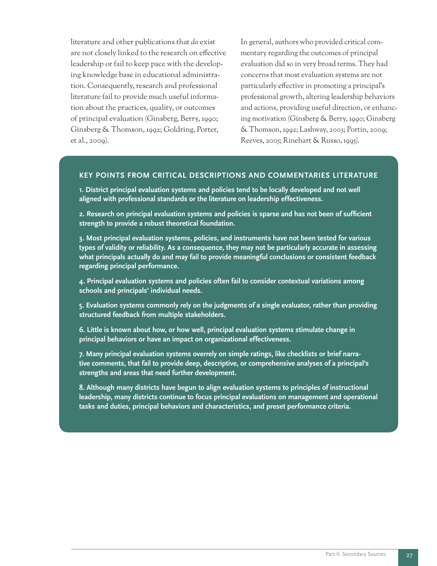literature and other publications that *do* exist are not closely linked to the research on effective leadership or fail to keep pace with the developing knowledge base in educational administration. Consequently, research and professional literature fail to provide much useful information about the practices, quality, or outcomes of principal evaluation (Ginsberg, Berry, 1990; Ginsberg & Thomson, 1992; Goldring, Porter, et al., 2009).

In general, authors who provided critical commentary regarding the outcomes of principal evaluation did so in very broad terms. They had concerns that most evaluation systems are not particularly effective in promoting a principal's professional growth, altering leadership behaviors and actions, providing useful direction, or enhancing motivation (Ginsberg & Berry, 1990; Ginsberg & Thomson, 1992; Lashway, 2003; Portin, 2009; Reeves, 2005; Rinehart & Russo, 1995).

#### **KEY POINTS FROM CRITICAL DESCRIPTIONS AND COMMENTARIES LITERATURE**

**1. District principal evaluation systems and policies tend to be locally developed and not well aligned with professional standards or the literature on leadership effectiveness.**

**2. Research on principal evaluation systems and policies is sparse and has not been of sufficient strength to provide a robust theoretical foundation.**

**3. Most principal evaluation systems, policies, and instruments have not been tested for various types of validity or reliability. As a consequence, they may not be particularly accurate in assessing what principals actually do and may fail to provide meaningful conclusions or consistent feedback regarding principal performance.**

**4. Principal evaluation systems and policies often fail to consider contextual variations among schools and principals' individual needs.**

**5. Evaluation systems commonly rely on the judgments of a single evaluator, rather than providing structured feedback from multiple stakeholders.**

**6. Little is known about how, or how well, principal evaluation systems stimulate change in principal behaviors or have an impact on organizational effectiveness.**

**7. Many principal evaluation systems overrely on simple ratings, like checklists or brief narrative comments, that fail to provide deep, descriptive, or comprehensive analyses of a principal's strengths and areas that need further development.**

**8. Although many districts have begun to align evaluation systems to principles of instructional leadership, many districts continue to focus principal evaluations on management and operational tasks and duties, principal behaviors and characteristics, and preset performance criteria.**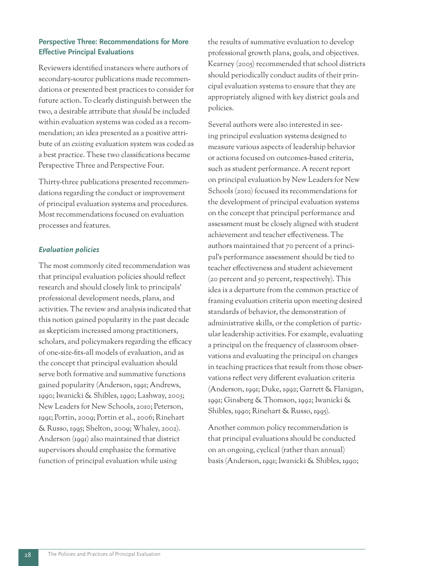#### **Perspective Three: Recommendations for More Effective Principal Evaluations**

Reviewers identified instances where authors of secondary-source publications made recommendations or presented best practices to consider for future action. To clearly distinguish between the two, a desirable attribute that *should* be included within evaluation systems was coded as a recommendation; an idea presented as a positive attribute of an *existing* evaluation system was coded as a best practice. These two classifications became Perspective Three and Perspective Four.

Thirty-three publications presented recommendations regarding the conduct or improvement of principal evaluation systems and procedures. Most recommendations focused on evaluation processes and features.

#### *Evaluation policies*

The most commonly cited recommendation was that principal evaluation policies should reflect research and should closely link to principals' professional development needs, plans, and activities. The review and analysis indicated that this notion gained popularity in the past decade as skepticism increased among practitioners, scholars, and policymakers regarding the efficacy of one-size-fits-all models of evaluation, and as the concept that principal evaluation should serve both formative and summative functions gained popularity (Anderson, 1991; Andrews, 1990; Iwanicki & Shibles, 1990; Lashway, 2003; New Leaders for New Schools, 2010; Peterson, 1991; Portin, 2009; Portin et al., 2006; Rinehart & Russo, 1995; Shelton, 2009; Whaley, 2002). Anderson (1991) also maintained that district supervisors should emphasize the formative function of principal evaluation while using

the results of summative evaluation to develop professional growth plans, goals, and objectives. Kearney (2005) recommended that school districts should periodically conduct audits of their principal evaluation systems to ensure that they are appropriately aligned with key district goals and policies.

Several authors were also interested in seeing principal evaluation systems designed to measure various aspects of leadership behavior or actions focused on outcomes-based criteria, such as student performance. A recent report on principal evaluation by New Leaders for New Schools (2010) focused its recommendations for the development of principal evaluation systems on the concept that principal performance and assessment must be closely aligned with student achievement and teacher effectiveness. The authors maintained that 70 percent of a principal's performance assessment should be tied to teacher effectiveness and student achievement (20 percent and 50 percent, respectively). This idea is a departure from the common practice of framing evaluation criteria upon meeting desired standards of behavior, the demonstration of administrative skills, or the completion of particular leadership activities. For example, evaluating a principal on the frequency of classroom observations and evaluating the principal on changes in teaching practices that result from those observations reflect very different evaluation criteria (Anderson, 1991; Duke, 1992; Garrett & Flanigan, 1991; Ginsberg & Thomson, 1992; Iwanicki & Shibles, 1990; Rinehart & Russo, 1995).

Another common policy recommendation is that principal evaluations should be conducted on an ongoing, cyclical (rather than annual) basis (Anderson, 1991; Iwanicki & Shibles, 1990;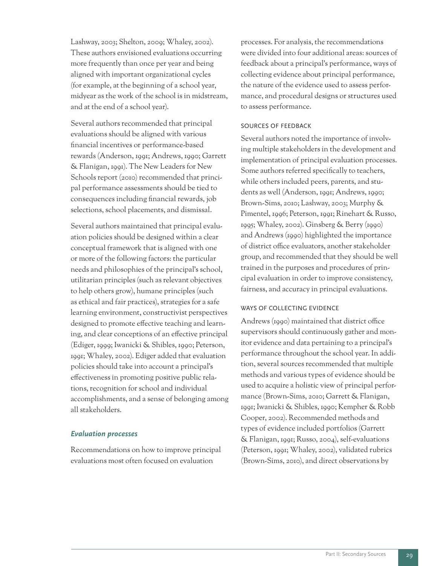Lashway, 2003; Shelton, 2009; Whaley, 2002). These authors envisioned evaluations occurring more frequently than once per year and being aligned with important organizational cycles (for example, at the beginning of a school year, midyear as the work of the school is in midstream, and at the end of a school year).

Several authors recommended that principal evaluations should be aligned with various financial incentives or performance-based rewards (Anderson, 1991; Andrews, 1990; Garrett & Flanigan, 1991). The New Leaders for New Schools report (2010) recommended that principal performance assessments should be tied to consequences including financial rewards, job selections, school placements, and dismissal.

Several authors maintained that principal evaluation policies should be designed within a clear conceptual framework that is aligned with one or more of the following factors: the particular needs and philosophies of the principal's school, utilitarian principles (such as relevant objectives to help others grow), humane principles (such as ethical and fair practices), strategies for a safe learning environment, constructivist perspectives designed to promote effective teaching and learning, and clear conceptions of an effective principal (Ediger, 1999; Iwanicki & Shibles, 1990; Peterson, 1991; Whaley, 2002). Ediger added that evaluation policies should take into account a principal's effectiveness in promoting positive public relations, recognition for school and individual accomplishments, and a sense of belonging among all stakeholders.

#### *Evaluation processes*

Recommendations on how to improve principal evaluations most often focused on evaluation

processes. For analysis, the recommendations were divided into four additional areas: sources of feedback about a principal's performance, ways of collecting evidence about principal performance, the nature of the evidence used to assess performance, and procedural designs or structures used to assess performance.

#### SOURCES OF FEEDBACK

Several authors noted the importance of involving multiple stakeholders in the development and implementation of principal evaluation processes. Some authors referred specifically to teachers, while others included peers, parents, and students as well (Anderson, 1991; Andrews, 1990; Brown-Sims, 2010; Lashway, 2003; Murphy & Pimentel, 1996; Peterson, 1991; Rinehart & Russo, 1995; Whaley, 2002). Ginsberg & Berry (1990) and Andrews (1990) highlighted the importance of district office evaluators, another stakeholder group, and recommended that they should be well trained in the purposes and procedures of principal evaluation in order to improve consistency, fairness, and accuracy in principal evaluations.

#### WAYS OF COLLECTING EVIDENCE

Andrews (1990) maintained that district office supervisors should continuously gather and monitor evidence and data pertaining to a principal's performance throughout the school year. In addition, several sources recommended that multiple methods and various types of evidence should be used to acquire a holistic view of principal performance (Brown-Sims, 2010; Garrett & Flanigan, 1991; Iwanicki & Shibles, 1990; Kempher & Robb Cooper, 2002). Recommended methods and types of evidence included portfolios (Garrett & Flanigan, 1991; Russo, 2004), self-evaluations (Peterson, 1991; Whaley, 2002), validated rubrics (Brown-Sims, 2010), and direct observations by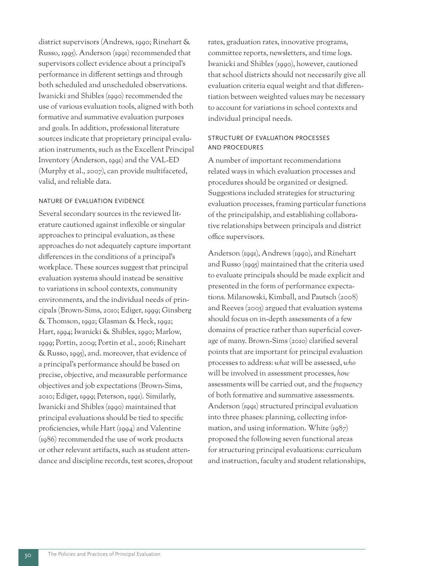district supervisors (Andrews, 1990; Rinehart & Russo, 1995). Anderson (1991) recommended that supervisors collect evidence about a principal's performance in different settings and through both scheduled and unscheduled observations. Iwanicki and Shibles (1990) recommended the use of various evaluation tools, aligned with both formative and summative evaluation purposes and goals. In addition, professional literature sources indicate that proprietary principal evaluation instruments, such as the Excellent Principal Inventory (Anderson, 1991) and the VAL-ED (Murphy et al., 2007), can provide multifaceted, valid, and reliable data.

#### NATURE OF EVALUATION EVIDENCE

Several secondary sources in the reviewed literature cautioned against inflexible or singular approaches to principal evaluation, as these approaches do not adequately capture important differences in the conditions of a principal's workplace. These sources suggest that principal evaluation systems should instead be sensitive to variations in school contexts, community environments, and the individual needs of principals (Brown-Sims, 2010; Ediger, 1999; Ginsberg & Thomson, 1992; Glasman & Heck, 1992; Hart, 1994; Iwanicki & Shibles, 1990; Marlow, 1999; Portin, 2009; Portin et al., 2006; Rinehart & Russo, 1995), and. moreover, that evidence of a principal's performance should be based on precise, objective, and measurable performance objectives and job expectations (Brown-Sims, 2010; Ediger, 1999; Peterson, 1991). Similarly, Iwanicki and Shibles (1990) maintained that principal evaluations should be tied to specific proficiencies, while Hart (1994) and Valentine (1986) recommended the use of work products or other relevant artifacts, such as student attendance and discipline records, test scores, dropout rates, graduation rates, innovative programs, committee reports, newsletters, and time logs. Iwanicki and Shibles (1990), however, cautioned that school districts should not necessarily give all evaluation criteria equal weight and that differentiation between weighted values may be necessary to account for variations in school contexts and individual principal needs.

#### STRUCTURE OF EVALUATION PROCESSES AND PROCEDURES

A number of important recommendations related ways in which evaluation processes and procedures should be organized or designed. Suggestions included strategies for structuring evaluation processes, framing particular functions of the principalship, and establishing collaborative relationships between principals and district office supervisors.

Anderson (1991), Andrews (1990), and Rinehart and Russo (1995) maintained that the criteria used to evaluate principals should be made explicit and presented in the form of performance expectations. Milanowski, Kimball, and Pautsch (2008) and Reeves (2005) argued that evaluation systems should focus on in-depth assessments of a few domains of practice rather than superficial coverage of many. Brown-Sims (2010) clarified several points that are important for principal evaluation processes to address: *what* will be assessed, *who*  will be involved in assessment processes, *how* assessments will be carried out, and the *frequency*  of both formative and summative assessments. Anderson (1991) structured principal evaluation into three phases: planning, collecting information, and using information. White  $(1987)$ proposed the following seven functional areas for structuring principal evaluations: curriculum and instruction, faculty and student relationships,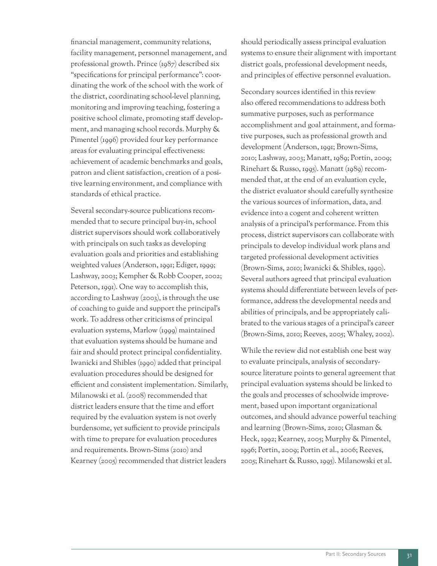financial management, community relations, facility management, personnel management, and professional growth. Prince (1987) described six "specifications for principal performance": coordinating the work of the school with the work of the district, coordinating school-level planning, monitoring and improving teaching, fostering a positive school climate, promoting staff development, and managing school records. Murphy & Pimentel (1996) provided four key performance areas for evaluating principal effectiveness: achievement of academic benchmarks and goals, patron and client satisfaction, creation of a positive learning environment, and compliance with standards of ethical practice.

Several secondary-source publications recommended that to secure principal buy-in, school district supervisors should work collaboratively with principals on such tasks as developing evaluation goals and priorities and establishing weighted values (Anderson, 1991; Ediger, 1999; Lashway, 2003; Kempher & Robb Cooper, 2002; Peterson, 1991). One way to accomplish this, according to Lashway (2003), is through the use of coaching to guide and support the principal's work. To address other criticisms of principal evaluation systems, Marlow (1999) maintained that evaluation systems should be humane and fair and should protect principal confidentiality. Iwanicki and Shibles (1990) added that principal evaluation procedures should be designed for efficient and consistent implementation. Similarly, Milanowski et al. (2008) recommended that district leaders ensure that the time and effort required by the evaluation system is not overly burdensome, yet sufficient to provide principals with time to prepare for evaluation procedures and requirements. Brown-Sims (2010) and Kearney (2005) recommended that district leaders

should periodically assess principal evaluation systems to ensure their alignment with important district goals, professional development needs, and principles of effective personnel evaluation.

Secondary sources identified in this review also offered recommendations to address both summative purposes, such as performance accomplishment and goal attainment, and formative purposes, such as professional growth and development (Anderson, 1991; Brown-Sims, 2010; Lashway, 2003; Manatt, 1989; Portin, 2009; Rinehart & Russo, 1995). Manatt (1989) recommended that, at the end of an evaluation cycle, the district evaluator should carefully synthesize the various sources of information, data, and evidence into a cogent and coherent written analysis of a principal's performance. From this process, district supervisors can collaborate with principals to develop individual work plans and targeted professional development activities (Brown-Sims, 2010; Iwanicki & Shibles, 1990). Several authors agreed that principal evaluation systems should differentiate between levels of performance, address the developmental needs and abilities of principals, and be appropriately calibrated to the various stages of a principal's career (Brown-Sims, 2010; Reeves, 2005; Whaley, 2002).

While the review did not establish one best way to evaluate principals, analysis of secondarysource literature points to general agreement that principal evaluation systems should be linked to the goals and processes of schoolwide improvement, based upon important organizational outcomes, and should advance powerful teaching and learning (Brown-Sims, 2010; Glasman & Heck, 1992; Kearney, 2005; Murphy & Pimentel, 1996; Portin, 2009; Portin et al., 2006; Reeves, 2005; Rinehart & Russo, 1995). Milanowski et al.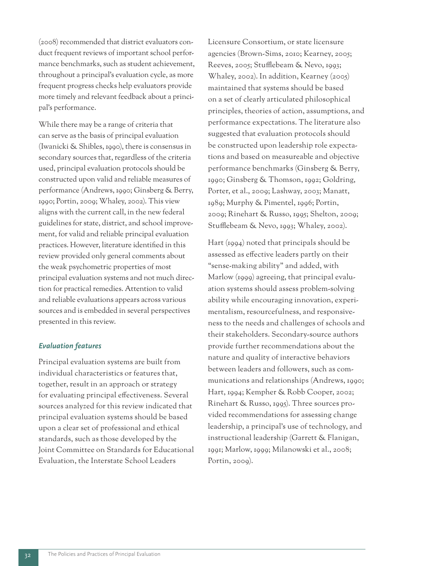(2008) recommended that district evaluators conduct frequent reviews of important school performance benchmarks, such as student achievement, throughout a principal's evaluation cycle, as more frequent progress checks help evaluators provide more timely and relevant feedback about a principal's performance.

While there may be a range of criteria that can serve as the basis of principal evaluation (Iwanicki & Shibles, 1990), there is consensus in secondary sources that, regardless of the criteria used, principal evaluation protocols should be constructed upon valid and reliable measures of performance (Andrews, 1990; Ginsberg & Berry, 1990; Portin, 2009; Whaley, 2002). This view aligns with the current call, in the new federal guidelines for state, district, and school improvement, for valid and reliable principal evaluation practices. However, literature identified in this review provided only general comments about the weak psychometric properties of most principal evaluation systems and not much direction for practical remedies. Attention to valid and reliable evaluations appears across various sources and is embedded in several perspectives presented in this review.

#### *Evaluation features*

Principal evaluation systems are built from individual characteristics or features that, together, result in an approach or strategy for evaluating principal effectiveness. Several sources analyzed for this review indicated that principal evaluation systems should be based upon a clear set of professional and ethical standards, such as those developed by the Joint Committee on Standards for Educational Evaluation, the Interstate School Leaders

Licensure Consortium, or state licensure agencies (Brown-Sims, 2010; Kearney, 2005; Reeves, 2005; Stufflebeam & Nevo, 1993; Whaley, 2002). In addition, Kearney (2005) maintained that systems should be based on a set of clearly articulated philosophical principles, theories of action, assumptions, and performance expectations. The literature also suggested that evaluation protocols should be constructed upon leadership role expectations and based on measureable and objective performance benchmarks (Ginsberg & Berry, 1990; Ginsberg & Thomson, 1992; Goldring, Porter, et al., 2009; Lashway, 2003; Manatt, 1989; Murphy & Pimentel, 1996; Portin, 2009; Rinehart & Russo, 1995; Shelton, 2009; Stufflebeam & Nevo, 1993; Whaley, 2002).

Hart (1994) noted that principals should be assessed as effective leaders partly on their "sense-making ability" and added, with Marlow (1999) agreeing, that principal evaluation systems should assess problem-solving ability while encouraging innovation, experimentalism, resourcefulness, and responsiveness to the needs and challenges of schools and their stakeholders. Secondary-source authors provide further recommendations about the nature and quality of interactive behaviors between leaders and followers, such as communications and relationships (Andrews, 1990; Hart, 1994; Kempher & Robb Cooper, 2002; Rinehart & Russo, 1995). Three sources provided recommendations for assessing change leadership, a principal's use of technology, and instructional leadership (Garrett & Flanigan, 1991; Marlow, 1999; Milanowski et al., 2008; Portin, 2009).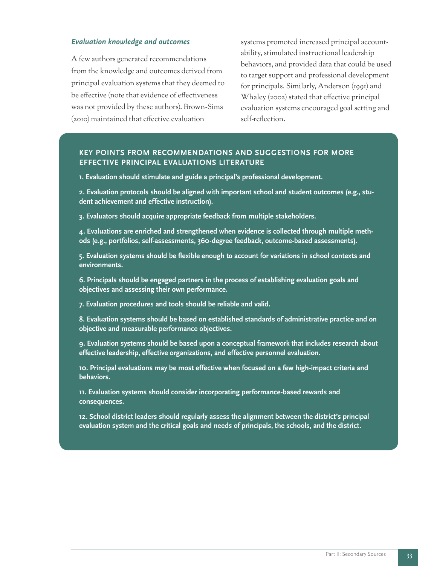#### *Evaluation knowledge and outcomes*

A few authors generated recommendations from the knowledge and outcomes derived from principal evaluation systems that they deemed to be effective (note that evidence of effectiveness was not provided by these authors). Brown-Sims (2010) maintained that effective evaluation

systems promoted increased principal accountability, stimulated instructional leadership behaviors, and provided data that could be used to target support and professional development for principals. Similarly, Anderson (1991) and Whaley (2002) stated that effective principal evaluation systems encouraged goal setting and self-reflection.

#### **KEY POINTS FROM RECOMMENDATIONS AND SUGGESTIONS FOR MORE EFFECTIVE PRINCIPAL EVALUATIONS LITERATURE**

**1. Evaluation should stimulate and guide a principal's professional development.**

**2. Evaluation protocols should be aligned with important school and student outcomes (e.g., student achievement and effective instruction).**

**3. Evaluators should acquire appropriate feedback from multiple stakeholders.**

**4. Evaluations are enriched and strengthened when evidence is collected through multiple methods (e.g., portfolios, self-assessments, 360-degree feedback, outcome-based assessments).**

**5. Evaluation systems should be flexible enough to account for variations in school contexts and environments.**

**6. Principals should be engaged partners in the process of establishing evaluation goals and objectives and assessing their own performance.**

**7. Evaluation procedures and tools should be reliable and valid.**

**8. Evaluation systems should be based on established standards of administrative practice and on objective and measurable performance objectives.**

**9. Evaluation systems should be based upon a conceptual framework that includes research about effective leadership, effective organizations, and effective personnel evaluation.**

**10. Principal evaluations may be most effective when focused on a few high-impact criteria and behaviors.**

**11. Evaluation systems should consider incorporating performance-based rewards and consequences.**

**12. School district leaders should regularly assess the alignment between the district's principal evaluation system and the critical goals and needs of principals, the schools, and the district.**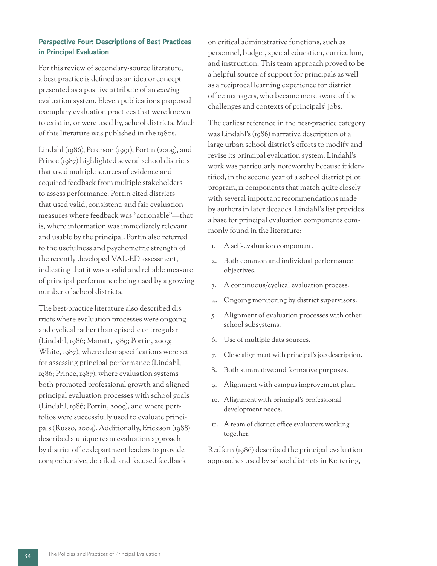#### **Perspective Four: Descriptions of Best Practices in Principal Evaluation**

For this review of secondary-source literature, a best practice is defined as an idea or concept presented as a positive attribute of an *existing* evaluation system. Eleven publications proposed exemplary evaluation practices that were known to exist in, or were used by, school districts. Much of this literature was published in the 1980s.

Lindahl (1986), Peterson (1991), Portin (2009), and Prince (1987) highlighted several school districts that used multiple sources of evidence and acquired feedback from multiple stakeholders to assess performance. Portin cited districts that used valid, consistent, and fair evaluation measures where feedback was "actionable"—that is, where information was immediately relevant and usable by the principal. Portin also referred to the usefulness and psychometric strength of the recently developed VAL-ED assessment, indicating that it was a valid and reliable measure of principal performance being used by a growing number of school districts.

The best-practice literature also described districts where evaluation processes were ongoing and cyclical rather than episodic or irregular (Lindahl, 1986; Manatt, 1989; Portin, 2009; White, 1987), where clear specifications were set for assessing principal performance (Lindahl, 1986; Prince, 1987), where evaluation systems both promoted professional growth and aligned principal evaluation processes with school goals (Lindahl, 1986; Portin, 2009), and where portfolios were successfully used to evaluate principals (Russo, 2004). Additionally, Erickson (1988) described a unique team evaluation approach by district office department leaders to provide comprehensive, detailed, and focused feedback

on critical administrative functions, such as personnel, budget, special education, curriculum, and instruction. This team approach proved to be a helpful source of support for principals as well as a reciprocal learning experience for district office managers, who became more aware of the challenges and contexts of principals' jobs.

The earliest reference in the best-practice category was Lindahl's (1986) narrative description of a large urban school district's efforts to modify and revise its principal evaluation system. Lindahl's work was particularly noteworthy because it identified, in the second year of a school district pilot program, 11 components that match quite closely with several important recommendations made by authors in later decades. Lindahl's list provides a base for principal evaluation components commonly found in the literature:

- 1. A self-evaluation component.
- 2. Both common and individual performance objectives.
- 3. A continuous/cyclical evaluation process.
- 4. Ongoing monitoring by district supervisors.
- 5. Alignment of evaluation processes with other school subsystems.
- 6. Use of multiple data sources.
- 7. Close alignment with principal's job description.
- 8. Both summative and formative purposes.
- 9. Alignment with campus improvement plan.
- 10. Alignment with principal's professional development needs.
- 11. A team of district office evaluators working together.

Redfern (1986) described the principal evaluation approaches used by school districts in Kettering,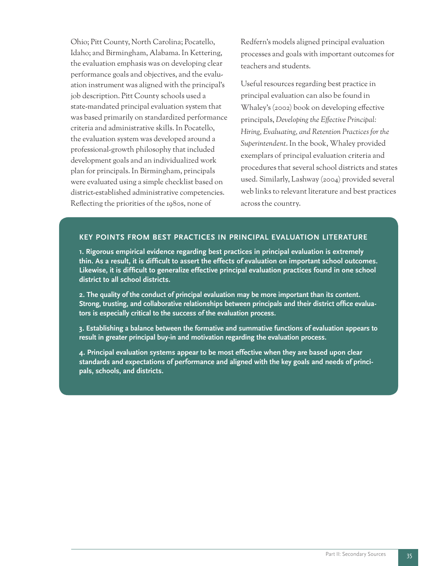Ohio; Pitt County, North Carolina; Pocatello, Idaho; and Birmingham, Alabama. In Kettering, the evaluation emphasis was on developing clear performance goals and objectives, and the evaluation instrument was aligned with the principal's job description. Pitt County schools used a state-mandated principal evaluation system that was based primarily on standardized performance criteria and administrative skills. In Pocatello, the evaluation system was developed around a professional-growth philosophy that included development goals and an individualized work plan for principals. In Birmingham, principals were evaluated using a simple checklist based on district-established administrative competencies. Reflecting the priorities of the 1980s, none of

Redfern's models aligned principal evaluation processes and goals with important outcomes for teachers and students.

Useful resources regarding best practice in principal evaluation can also be found in Whaley's (2002) book on developing effective principals, *Developing the Effective Principal: Hiring, Evaluating, and Retention Practices for the Superintendent*. In the book, Whaley provided exemplars of principal evaluation criteria and procedures that several school districts and states used. Similarly, Lashway (2004) provided several web links to relevant literature and best practices across the country.

#### **KEY POINTS FROM BEST PRACTICES IN PRINCIPAL EVALUATION LITERATURE**

**1. Rigorous empirical evidence regarding best practices in principal evaluation is extremely thin. As a result, it is difficult to assert the effects of evaluation on important school outcomes. Likewise, it is difficult to generalize effective principal evaluation practices found in one school district to all school districts.**

**2. The quality of the conduct of principal evaluation may be more important than its content. Strong, trusting, and collaborative relationships between principals and their district office evaluators is especially critical to the success of the evaluation process.** 

**3. Establishing a balance between the formative and summative functions of evaluation appears to result in greater principal buy-in and motivation regarding the evaluation process.**

**4. Principal evaluation systems appear to be most effective when they are based upon clear standards and expectations of performance and aligned with the key goals and needs of principals, schools, and districts.**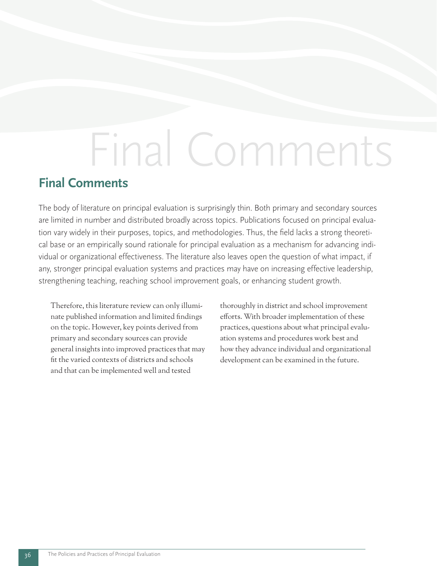# Final Comments

## **Final Comments**

The body of literature on principal evaluation is surprisingly thin. Both primary and secondary sources are limited in number and distributed broadly across topics. Publications focused on principal evaluation vary widely in their purposes, topics, and methodologies. Thus, the field lacks a strong theoretical base or an empirically sound rationale for principal evaluation as a mechanism for advancing individual or organizational effectiveness. The literature also leaves open the question of what impact, if any, stronger principal evaluation systems and practices may have on increasing effective leadership, strengthening teaching, reaching school improvement goals, or enhancing student growth.

Therefore, this literature review can only illuminate published information and limited findings on the topic. However, key points derived from primary and secondary sources can provide general insights into improved practices that may fit the varied contexts of districts and schools and that can be implemented well and tested

thoroughly in district and school improvement efforts. With broader implementation of these practices, questions about what principal evaluation systems and procedures work best and how they advance individual and organizational development can be examined in the future.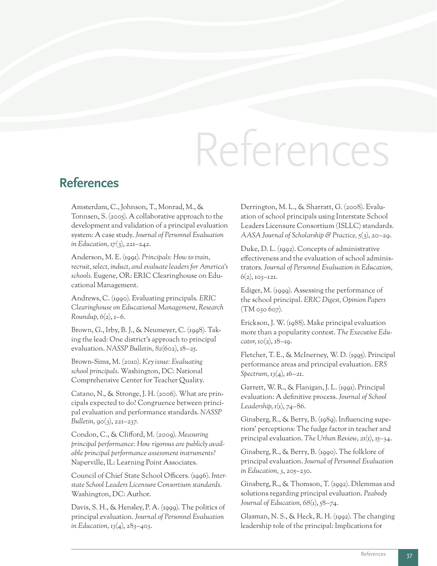# References

### **References**

Amsterdam, C., Johnson, T., Monrad, M., & Tonnsen, S. (2005). A collaborative approach to the development and validation of a principal evaluation system: A case study. *Journal of Personnel Evaluation in Education, 17*(3), 221–242.

Anderson, M. E. (1991). *Principals: How to train, recruit, select, induct, and evaluate leaders for America's schools.* Eugene, OR: ERIC Clearinghouse on Educational Management.

Andrews, C. (1990). Evaluating principals. *ERIC Clearinghouse on Educational Management, Research Roundup, 6*(2), 1–6.

Brown, G., Irby, B. J., & Neumeyer, C. (1998). Taking the lead: One district's approach to principal evaluation. *NASSP Bulletin, 82*(602), 18–25.

Brown-Sims, M. (2010). *Key issue: Evaluating school principals*. Washington, DC: National Comprehensive Center for Teacher Quality.

Catano, N., & Stronge, J. H. (2006). What are principals expected to do? Congruence between principal evaluation and performance standards. *NASSP Bulletin, 90*(3), 221–237.

Condon, C., & Clifford, M. (2009). *Measuring principal performance: How rigorous are publicly available principal performance assessment instruments?*  Naperville, IL: Learning Point Associates.

Council of Chief State School Officers. (1996). *Interstate School Leaders Licensure Consortium standards.*  Washington, DC: Author.

Davis, S. H., & Hensley, P. A. (1999). The politics of principal evaluation. *Journal of Personnel Evaluation in Education, 13*(4), 283–403.

Derrington, M. L., & Sharratt, G. (2008). Evaluation of school principals using Interstate School Leaders Licensure Consortium (ISLLC) standards. *AASA Journal of Scholarship & Practice, 5*(3), 20–29.

Duke, D. L. (1992). Concepts of administrative effectiveness and the evaluation of school administrators. *Journal of Personnel Evaluation in Education, 6*(2), 103–121.

Ediger, M. (1999). Assessing the performance of the school principal. *ERIC Digest, Opinion Papers* (TM 030 607)*.*

Erickson, J. W. (1988). Make principal evaluation more than a popularity contest. *The Executive Educator, 10*(2), 18–19.

Fletcher, T. E., & McInerney, W. D. (1995). Principal performance areas and principal evaluation. *ERS Spectrum, 13*(4), 16–21.

Garrett, W. R., & Flanigan, J. L. (1991). Principal evaluation: A definitive process. *Journal of School Leadership, 1*(1), 74–86.

Ginsberg, R., & Berry, B. (1989). Influencing superiors' perceptions: The fudge factor in teacher and principal evaluation*. The Urban Review, 21*(1), 15–34.

Ginsberg, R., & Berry, B. (1990). The folklore of principal evaluation. *Journal of Personnel Evaluation in Education, 3*, 205–230.

Ginsberg, R., & Thomson, T. (1992). Dilemmas and solutions regarding principal evaluation. *Peabody*  Journal of Education, 68(1), 58–74.

Glasman, N. S., & Heck, R. H. (1992). The changing leadership role of the principal: Implications for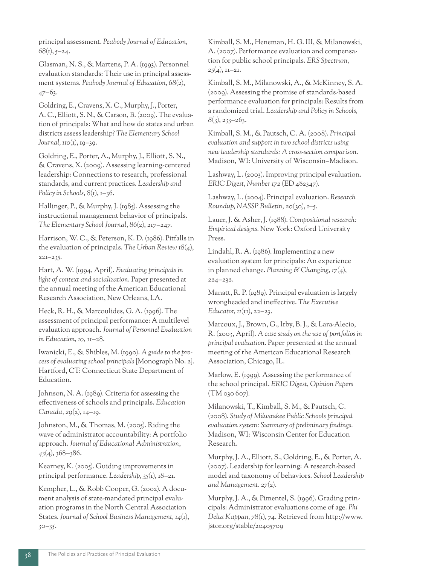principal assessment. *Peabody Journal of Education, 68*(1), 5–24.

Glasman, N. S., & Martens, P. A. (1993). Personnel evaluation standards: Their use in principal assessment systems. *Peabody Journal of Education, 68*(2), 47–63.

Goldring, E., Cravens, X. C., Murphy, J., Porter, A. C., Elliott, S. N., & Carson, B. (2009). The evaluation of principals: What and how do states and urban districts assess leadership? *The Elementary School Journal, 110*(1), 19–39.

Goldring, E., Porter, A., Murphy, J., Elliott, S. N., & Cravens, X. (2009). Assessing learning-centered leadership: Connections to research, professional standards, and current practices. *Leadership and*  Policy in Schools,  $8$ (1), 1–36.

Hallinger, P., & Murphy, J. (1985). Assessing the instructional management behavior of principals. *The Elementary School Journal, 86*(2), 217–247.

Harrison, W. C., & Peterson, K. D. (1986). Pitfalls in the evaluation of principals. *The Urban Review 18*(4), 221–235.

Hart, A. W. (1994, April). *Evaluating principals in light of context and socialization*. Paper presented at the annual meeting of the American Educational Research Association, New Orleans, LA.

Heck, R. H., & Marcoulides, G. A. (1996). The assessment of principal performance: A multilevel evaluation approach. *Journal of Personnel Evaluation in Education, 10*, 11–28.

Iwanicki, E., & Shibles, M. (1990). *A guide to the process of evaluating school principals* [Monograph No. 2]. Hartford, CT: Connecticut State Department of Education.

Johnson, N. A. (1989). Criteria for assessing the effectiveness of schools and principals. *Education Canada, 29*(2), 14–19.

Johnston, M., & Thomas, M. (2005). Riding the wave of administrator accountability: A portfolio approach. *Journal of Educational Administration*, *43*(4), 368–386.

Kearney, K. (2005). Guiding improvements in principal performance. *Leadership, 35*(1), 18–21.

Kempher, L., & Robb Cooper, G. (2002). A document analysis of state-mandated principal evaluation programs in the North Central Association States. *Journal of School Business Management, 14*(1), 30–35.

Kimball, S. M., Heneman, H. G. III, & Milanowski, A. (2007). Performance evaluation and compensation for public school principals. *ERS Spectrum, 25*(4), 11–21.

Kimball, S. M., Milanowski, A., & McKinney, S. A. (2009). Assessing the promise of standards-based performance evaluation for principals: Results from a randomized trial. *Leadership and Policy in Schools, 8*(3), 233–263.

Kimball, S. M., & Pautsch, C. A. (2008). *Principal evaluation and support in two school districts using new leadership standards: A cross-section comparison*. Madison, WI: University of Wisconsin–Madison.

Lashway, L. (2003). Improving principal evaluation. *ERIC Digest, Number 172* (ED 482347)*.*

Lashway, L. (2004). Principal evaluation. *Research Roundup, NASSP Bulletin, 20*(30), 1–5.

Lauer, J. & Asher, J. (1988). *Compositional research: Empirical designs.* New York: Oxford University Press.

Lindahl, R. A. (1986). Implementing a new evaluation system for principals: An experience in planned change. *Planning & Changing, 17*(4), 224–232.

Manatt, R. P. (1989). Principal evaluation is largely wrongheaded and ineffective. *The Executive Educator, 11*(11), 22–23.

Marcoux, J., Brown, G., Irby, B. J., & Lara-Alecio, R. (2003, April). *A case study on the use of portfolios in principal evaluation*. Paper presented at the annual meeting of the American Educational Research Association, Chicago, IL.

Marlow, E. (1999). Assessing the performance of the school principal. *ERIC Digest*, *Opinion Papers* (TM 030 607)*.*

Milanowski, T., Kimball, S. M., & Pautsch, C. (2008). *Study of Milwaukee Public Schools principal evaluation system: Summary of preliminary findings.* Madison, WI: Wisconsin Center for Education Research.

Murphy, J. A., Elliott, S., Goldring, E., & Porter, A. (2007). Leadership for learning: A research-based model and taxonomy of behaviors. *School Leadership and Management. 27*(2).

Murphy, J. A., & Pimentel, S. (1996). Grading principals: Administrator evaluations come of age. *Phi Delta Kappan, 78*(1), 74. Retrieved from http://www. jstor.org/stable/20405709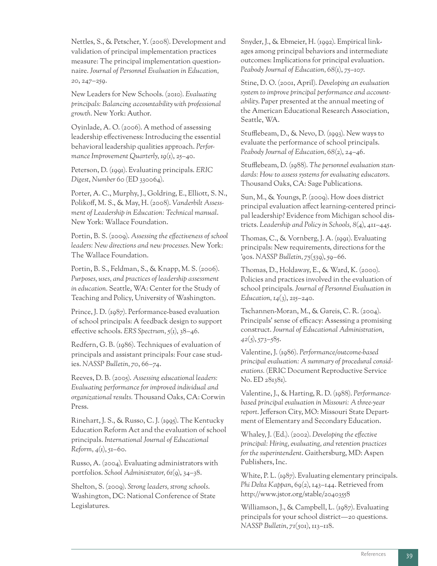Nettles, S., & Petscher, Y. (2008). Development and validation of principal implementation practices measure: The principal implementation questionnaire. *Journal of Personnel Evaluation in Education, 20*, 247–259.

New Leaders for New Schools. (2010)*. Evaluating principals: Balancing accountability with professional growth.* New York: Author.

Oyinlade, A. O. (2006). A method of assessing leadership effectiveness: Introducing the essential behavioral leadership qualities approach. *Performance Improvement Quarterly, 19*(1), 25–40.

Peterson, D. (1991). Evaluating principals. *ERIC Digest*, *Number 60* (ED 330064).

Porter, A. C., Murphy, J., Goldring, E., Elliott, S. N., Polikoff, M. S., & May, H. (2008). *Vanderbilt Assessment of Leadership in Education: Technical manual*. New York: Wallace Foundation.

Portin, B. S. (2009). *Assessing the effectiveness of school leaders: New directions and new processes.* New York: The Wallace Foundation.

Portin, B. S., Feldman, S., & Knapp, M. S. (2006). *Purposes, uses, and practices of leadership assessment in education.* Seattle, WA: Center for the Study of Teaching and Policy, University of Washington.

Prince, J. D. (1987). Performance-based evaluation of school principals: A feedback design to support effective schools. *ERS Spectrum, 5*(1), 38–46.

Redfern, G. B. (1986). Techniques of evaluation of principals and assistant principals: Four case studies. *NASSP Bulletin, 70*, 66–74.

Reeves, D. B. (2005). *Assessing educational leaders: Evaluating performance for improved individual and organizational results.* Thousand Oaks, CA: Corwin Press.

Rinehart, J. S., & Russo, C. J. (1995). The Kentucky Education Reform Act and the evaluation of school principals. *International Journal of Educational Reform, 4*(1), 51–60.

Russo, A. (2004). Evaluating administrators with portfolios. *School Administrator, 61*(9), 34–38.

Shelton, S. (2009). *Strong leaders, strong schools*. Washington, DC: National Conference of State Legislatures.

Snyder, J., & Ebmeier, H. (1992). Empirical linkages among principal behaviors and intermediate outcomes: Implications for principal evaluation. *Peabody Journal of Education, 68*(1), 75–107.

Stine, D. O. (2001, April). *Developing an evaluation system to improve principal performance and accountability*. Paper presented at the annual meeting of the American Educational Research Association, Seattle, WA.

Stufflebeam, D., & Nevo, D. (1993). New ways to evaluate the performance of school principals. *Peabody Journal of Education, 68*(2), 24–46.

Stufflebeam, D. (1988). *The personnel evaluation standards: How to assess systems for evaluating educators*. Thousand Oaks, CA: Sage Publications.

Sun, M., & Youngs, P. (2009). How does district principal evaluation affect learning-centered principal leadership? Evidence from Michigan school districts. *Leadership and Policy in Schools, 8*(4), 411–445.

Thomas, C., & Vornberg, J. A. (1991). Evaluating principals: New requirements, directions for the '90s. *NASSP Bulletin, 75*(539), 59–66.

Thomas, D., Holdaway, E., & Ward, K. (2000). Policies and practices involved in the evaluation of school principals. *Journal of Personnel Evaluation in Education, 14*(3), 215–240.

Tschannen-Moran, M., & Gareis, C. R. (2004). Principals' sense of efficacy: Assessing a promising construct. *Journal of Educational Administration, 42*(5), 573–585.

Valentine, J. (1986). *Performance/outcome-based principal evaluation: A summary of procedural considerations.* (ERIC Document Reproductive Service No. ED 281381).

Valentine, J., & Harting, R. D. (1988). *Performancebased principal evaluation in Missouri: A three-year report*. Jefferson City, MO: Missouri State Department of Elementary and Secondary Education.

Whaley, J. (Ed.). (2002). *Developing the effective principal: Hiring, evaluating, and retention practices for the superintendent*. Gaithersburg, MD: Aspen Publishers, Inc.

White, P. L. (1987). Evaluating elementary principals. Phi Delta Kappan, 69(2), 143–144. Retrieved from http://www.jstor.org/stable/20403558

Williamson, J., & Campbell, L. (1987). Evaluating principals for your school district—20 questions. *NASSP Bulletin, 71*(501), 113–118.